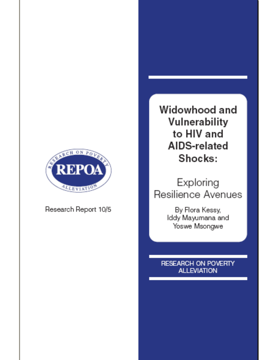

Research Report 10/5

Widowhood and Vulnerability to HIV and AIDS-related Shocks:

Exploring Resilience Avenues

> By Flora Kessy, Iddy Mayumana and Yoswe Msongwe

**RESEARCH ON POVERTY ALLEVIATION**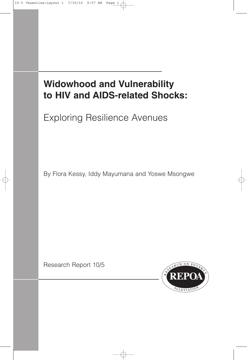## **Widowhood and Vulnerability to HIV and AIDS-related Shocks:**

Exploring Resilience Avenues

By Flora Kessy, Iddy Mayumana and Yoswe Msongwe

Research Report 10/5

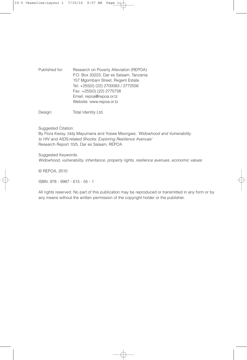Published for: Research on Poverty Alleviation (REPOA) P.O. Box 33223, Dar es Salaam, Tanzania 157 Mgombani Street, Regent Estate Tel: +255(0) (22) 2700083 / 2772556 Fax: +255(0) (22) 2775738 Email: repoa@repoa.or.tz Website: www.repoa.or.tz

Design: Total Identity Ltd.

Suggested Citation:

By Flora Kessy, Iddy Mayumana and Yoswe Msongwe, *'Widowhood and Vulnerability to HIV and AIDS-related Shocks: Exploring Resilience Avenues'* Research Report 10/5, Dar es Salaam, REPOA

Suggested Keywords: *Widowhood, vulnerability, inheritance, property rights, resilience avenues, economic values*

© REPOA, 2010

ISBN: 978 - 9987 - 615 - 55 - 1

All rights reserved. No part of this publication may be reproduced or transmitted in any form or by any means without the written permission of the copyright holder or the publisher.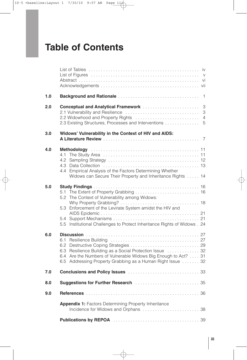## **Table of Contents**

| 1.0 | $\overline{1}$                                                                                                                                                                            |
|-----|-------------------------------------------------------------------------------------------------------------------------------------------------------------------------------------------|
| 2.0 | $\mathfrak 3$<br>Conceptual and Analytical Framework<br>3<br>$\overline{4}$<br>2.3 Existing Structures, Processes and Interventions  5                                                    |
| 3.0 | Widows' Vulnerability in the Context of HIV and AIDS:                                                                                                                                     |
| 4.0 | 4.3<br>4.4 Empirical Analysis of the Factors Determining Whether<br>Widows can Secure Their Property and Inheritance Rights  14                                                           |
| 5.0 | 5.2 The Context of Vulnerability among Widows:<br>5.3 Enforcement of the Levirate System amidst the HIV and<br>5.5 Institutional Challenges to Protect Inheritance Rights of Widows . 24  |
| 6.0 | 6.3 Resilience Building as a Social Protection Issue  32<br>6.4 Are the Numbers of Vulnerable Widows Big Enough to Act? 31<br>6.5 Addressing Property Grabbing as a Human Right Issue  32 |
| 7.0 |                                                                                                                                                                                           |
| 8.0 | <b>Suggestions for Further Research Manual Action Contract Suggestions for Further Research Manual Action</b>                                                                             |
| 9.0 |                                                                                                                                                                                           |
|     | <b>Appendix 1: Factors Determining Property Inheritance</b>                                                                                                                               |
|     |                                                                                                                                                                                           |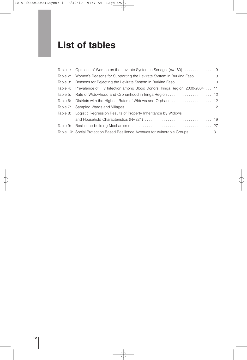## **List of tables**

|          | Table 2: Women's Reasons for Supporting the Levirate System in Burkina Faso 9         |  |
|----------|---------------------------------------------------------------------------------------|--|
| Table 3: |                                                                                       |  |
|          | Table 4: Prevalence of HIV Infection among Blood Donors, Iringa Region, 2000-2004  11 |  |
|          | Table 5: Rate of Widowhood and Orphanhood in Iringa Region  12                        |  |
|          |                                                                                       |  |
|          |                                                                                       |  |
|          | Table 8: Logistic Regression Results of Property Inheritance by Widows                |  |
|          |                                                                                       |  |
| Table 9: |                                                                                       |  |
|          | Table 10: Social Protection Based Resilience Avenues for Vulnerable Groups  31        |  |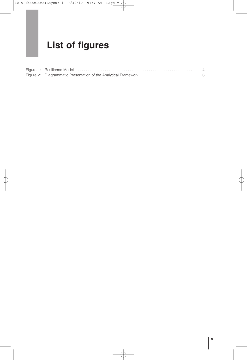## **List of figures**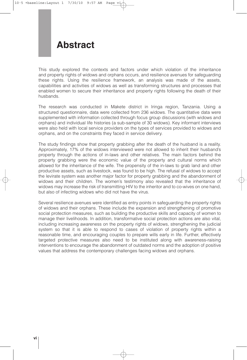### **Abstract**

This study explored the contexts and factors under which violation of the inheritance and property rights of widows and orphans occurs, and resilience avenues for safeguarding these rights. Using the resilience framework, an analysis was made of the assets, capabilities and activities of widows as well as transforming structures and processes that enabled women to secure their inheritance and property rights following the death of their husbands.

The research was conducted in Makete district in Iringa region, Tanzania. Using a structured questionnaire, data were collected from 236 widows. The quantitative data were supplemented with information collected through focus group discussions (with widows and orphans) and individual life histories (a sub-sample of 30 widows). Key informant interviews were also held with local service providers on the types of services provided to widows and orphans, and on the constraints they faced in service delivery.

The study findings show that property grabbing after the death of the husband is a reality. Approximately, 17% of the widows interviewed were not allowed to inherit their husband's property through the actions of in-laws and other relatives. The main factors behind the property grabbing were the economic value of the property and cultural norms which allowed for the inheritance of the wife. The propensity of the in-laws to grab land and other productive assets, such as livestock, was found to be high. The refusal of widows to accept the levirate system was another major factor for property grabbing and the abandonment of widows and their children. The women's testimony also revealed that the inheritance of widows may increase the risk of transmitting HIV to the inheritor and to co-wives on one hand, but also of infecting widows who did not have the virus.

Several resilience avenues were identified as entry points in safeguarding the property rights of widows and their orphans. These include the expansion and strengthening of promotive social protection measures, such as building the productive skills and capacity of women to manage their livelihoods. In addition, transformative social protection actions are also vital, including increasing awareness on the property rights of widows, strengthening the judicial system so that it is able to respond to cases of violation of property rights within a reasonable time, and encouraging couples to prepare wills early in life. Further, effectively targeted protective measures also need to be instituted along with awareness-raising interventions to encourage the abandonment of outdated norms and the adoption of positive values that address the contemporary challenges facing widows and orphans.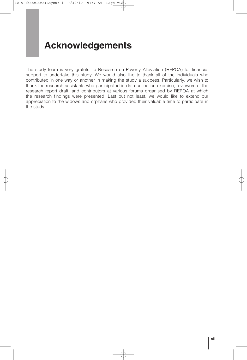## **Acknowledgements**

The study team is very grateful to Research on Poverty Alleviation (REPOA) for financial support to undertake this study. We would also like to thank all of the individuals who contributed in one way or another in making the study a success. Particularly, we wish to thank the research assistants who participated in data collection exercise, reviewers of the research report draft, and contributors at various forums organised by REPOA at which the research findings were presented. Last but not least, we would like to extend our appreciation to the widows and orphans who provided their valuable time to participate in the study.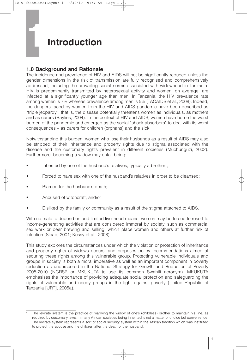## **Introduction**

#### **1.0 Background and Rationale**

**1**

The incidence and prevalence of HIV and AIDS will not be significantly reduced unless the gender dimensions in the risk of transmission are fully recognised and comprehensively addressed, including the prevailing social norms associated with widowhood in Tanzania. HIV is predominantly transmitted by heterosexual activity and women, on average, are infected at a significantly younger age than men. In Tanzania, the HIV prevalence rate among women is 7% whereas prevalence among men is 5% (TACAIDS et al., 2008). Indeed, the dangers faced by women from the HIV and AIDS pandemic have been described as "triple jeopardy", that is, the disease potentially threatens women as individuals, as mothers and as carers (Baylies, 2004). In the context of HIV and AIDS, women have borne the worst burden of the pandemic and emerged as the social "shock absorbers" to deal with its worst consequences – as carers for children (orphans) and the sick.

Notwithstanding this burden, women who lose their husbands as a result of AIDS may also be stripped of their inheritance and property rights due to stigma associated with the disease and the customary rights prevalent in different societies (Muchunguzi, 2002). Furthermore, becoming a widow may entail being:

- Inherited by one of the husband's relatives, typically a brother<sup>1</sup>;
- Forced to have sex with one of the husband's relatives in order to be cleansed;
- Blamed for the husband's death;
- Accused of witchcraft; and/or
- Disliked by the family or community as a result of the stigma attached to AIDS.

With no male to depend on and limited livelihood means, women may be forced to resort to income-generating activities that are considered immoral by society, such as commercial sex work or beer brewing and selling, which place women and others at further risk of infection (Sleap, 2001; Kessy et al., 2008).

This study explores the circumstances under which the violation or protection of inheritance and property rights of widows occurs, and proposes policy recommendations aimed at securing these rights among this vulnerable group. Protecting vulnerable individuals and groups in society is both a moral imperative as well as an important component in poverty reduction as underscored in the National Strategy for Growth and Reduction of Poverty 2005-2010 (NGRSP or MKUKUTA to use its common Swahili acronym). MKUKUTA emphasises the importance of providing adequate social protection and safeguarding the rights of vulnerable and needy groups in the fight against poverty (United Republic of Tanzania [URT], 2005a).

<sup>1</sup> The levirate system is the practice of marrying the widow of one's (childless) brother to maintain his line, as required by customary laws. In many African societies being inherited is not a matter of choice but convenience. The levirate system represents a sort of social security system within the African tradition which was instituted to protect the spouse and the children after the death of the husband.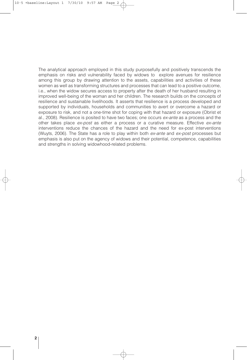The analytical approach employed in this study purposefully and positively transcends the emphasis on risks and vulnerability faced by widows to explore avenues for resilience among this group by drawing attention to the assets, capabilities and activities of these women as well as transforming structures and processes that can lead to a positive outcome, i.e., when the widow secures access to property after the death of her husband resulting in improved well-being of the woman and her children. The research builds on the concepts of resilience and sustainable livelihoods. It asserts that resilience is a process developed and supported by individuals, households and communities to avert or overcome a hazard or exposure to risk, and not a one-time shot for coping with that hazard or exposure (Obrist et al., 2008). Resilience is posited to have two faces; one occurs *ex-ante* as a process and the other takes place *ex-post* as either a process or a curative measure. Effective *ex-ante* interventions reduce the chances of the hazard and the need for ex-post interventions (Wuyts, 2006). The State has a role to play within both *ex-ante* and *ex-post* processes but emphasis is also put on the agency of widows and their potential, competence, capabilities and strengths in solving widowhood-related problems.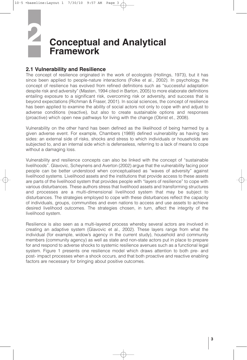## **Conceptual and Analytical Framework 2**

#### **2.1 Vulnerability and Resilience**

The concept of resilience originated in the work of ecologists (Hollings, 1973), but it has since been applied to people-nature interactions (Folke et al., 2002). In psychology, the concept of resilience has evolved from refined definitions such as "successful adaptation despite risk and adversity" (Masten, 1994 cited in Barton, 2005) to more elaborate definitions entailing exposure to a significant risk, overcoming risk or adversity, and success that is beyond expectations (Richman & Fraser, 2001). In social sciences, the concept of resilience has been applied to examine the ability of social actors not only to cope with and adjust to adverse conditions (reactive), but also to create sustainable options and responses (proactive) which open new pathways for living with the change (Obrist et., 2008).

Vulnerability on the other hand has been defined as the likelihood of being harmed by a given adverse event. For example, Chambers (1989) defined vulnerability as having two sides: an external side of risks, shocks and stress to which individuals or households are subjected to, and an internal side which is defenseless, referring to a lack of means to cope without a damaging loss.

Vulnerability and resilience concepts can also be linked with the concept of "sustainable livelihoods". Glavovic, Scheynens and Averton (2002) argue that the vulnerability facing poor people can be better understood when conceptualised as "waves of adversity" against livelihood systems. Livelihood assets and the institutions that provide access to these assets are parts of the livelihood system that provides people with "layers of resilience" to cope with various disturbances. These authors stress that livelihood assets and transforming structures and processes are a multi-dimensional livelihood system that may be subject to disturbances. The strategies employed to cope with these disturbances reflect the capacity of individuals, groups, communities and even nations to access and use assets to achieve desired livelihood outcomes. The strategies chosen, in turn, affect the integrity of the livelihood system.

Resilience is also seen as a multi-layered process whereby several actors are involved in creating an adaptive system (Glavovic et al., 2002). These layers range from what the individual (for example, widow's agency in the current study), household and community members (community agency) as well as state and non-state actors put in place to prepare for and respond to adverse shocks to systemic resilience avenues such as a functional legal system. Figure 1 presents one resilience model which draws attention to both pre- and post- impact processes when a shock occurs, and that both proactive and reactive enabling factors are necessary for bringing about positive outcomes.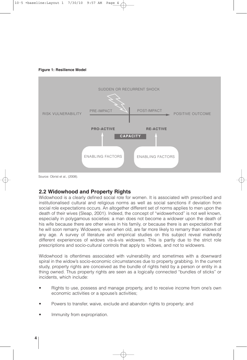



#### **2.2 Widowhood and Property Rights**

Widowhood is a clearly defined social role for women. It is associated with prescribed and institutionalised cultural and religious norms as well as social sanctions if deviation from social role expectations occurs. An altogether different set of norms applies to men upon the death of their wives (Sleap, 2001). Indeed, the concept of "widowerhood" is not well known, especially in polygamous societies: a man does not become a widower upon the death of his wife because there are other wives in his family, or because there is an expectation that he will soon remarry. Widowers, even when old, are far more likely to remarry than widows of any age. A survey of literature and empirical studies on this subject reveal markedly different experiences of widows vis-à-vis widowers. This is partly due to the strict role prescriptions and socio-cultural controls that apply to widows, and not to widowers.

Widowhood is oftentimes associated with vulnerability and sometimes with a downward spiral in the widow's socio-economic circumstances due to property grabbing. In the current study, property rights are conceived as the bundle of rights held by a person or entity in a thing owned. Thus property rights are seen as a logically connected "bundles of sticks" or incidents, which include:

- Rights to use, possess and manage property, and to receive income from one's own economic activities or a spouse's activities;
- Powers to transfer, waive, exclude and abandon rights to property; and
- Immunity from expropriation.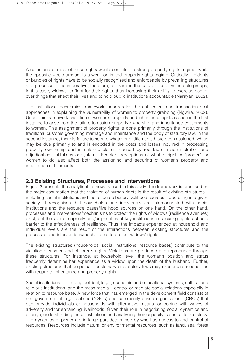A command of most of these rights would constitute a strong property rights regime, while the opposite would amount to a weak or limited property rights regime. Critically, incidents or bundles of rights have to be socially recognised and enforceable by prevailing structures and processes. It is imperative, therefore, to examine the capabilities of vulnerable groups, in this case, widows, to fight for their rights, thus increasing their ability to exercise control over things that affect their lives and to hold public institutions accountable (Narayan, 2002).

The institutional economics framework incorporates the entitlement and transaction cost approaches in explaining the vulnerability of women to property grabbing (Ngwira, 2002). Under this framework, violation of women's property and inheritance rights is seen in the first instance to arise from the failure to assign property ownership and inheritance entitlements to women. This assignment of property rights is done primarily through the institutions of traditional customs governing marriage and inheritance and the body of statutory law. In the second instance, there is failure to secure whatever entitlements have been assigned, which may be due primarily to and is encoded in the costs and losses incurred in processing property ownership and inheritance claims, caused by red tape in administration and adjudication institutions or systems. People's perceptions of what is right or "proper" for women to do also affect both the assigning and securing of women's property and inheritance entitlements.

#### **2.3 Existing Structures, Processes and Interventions**

Figure 2 presents the analytical framework used in this study. The framework is premised on the major assumption that the violation of human rights is the result of existing structures – including social institutions and the resource bases/livelihood sources – operating in a given society. It recognises that households and individuals are interconnected with social institutions and the resource bases/livelihood sources on one hand. On the other hand, processes and interventions/mechanisms to protect the rights of widows (resilience avenues) exist, but the lack of capacity and/or priorities of key institutions in securing rights act as a barrier to the effectiveness of resilience. Thus, the impacts experienced at household and individual levels are the result of the interactions between existing structures and the processes and interventions/mechanisms to protect widows' rights.

The existing structures (households, social institutions, resource bases) contribute to the violation of women and children's rights. Violations are produced and reproduced through these structures. For instance, at household level, the woman's position and status frequently determine her experience as a widow upon the death of the husband. Further, existing structures that perpetuate customary or statutory laws may exacerbate inequalities with regard to inheritance and property rights.

Social institutions – including political, legal, economic and educational systems, cultural and religious institutions, and the mass media – control or mediate social relations especially in relation to resource base. A new force that has emerged in the development field consists of non-governmental organisations (NGOs) and community-based organisations (CBOs) that can provide individuals or households with alternative means for coping with waves of adversity and for enhancing livelihoods. Given their role in negotiating social dynamics and change, understanding these institutions and analysing their capacity is central to this study. The dynamics of power are in large part determined by who has access to and control of resources. Resources include natural or environmental resources, such as land, sea, forest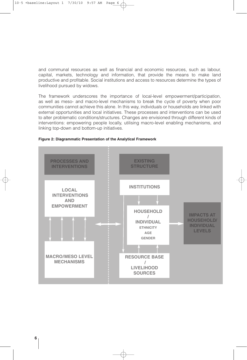and communal resources as well as financial and economic resources, such as labour, capital, markets, technology and information, that provide the means to make land productive and profitable. Social institutions and access to resources determine the types of livelihood pursued by widows.

The framework underscores the importance of local-level empowerment/participation, as well as meso- and macro-level mechanisms to break the cycle of poverty when poor communities cannot achieve this alone. In this way, individuals or households are linked with external opportunities and local initiatives. These processes and interventions can be used to alter problematic conditions/structures. Changes are envisioned through different kinds of interventions: empowering people locally, utilising macro-level enabling mechanisms, and linking top-down and bottom-up initiatives.



#### **Figure 2: Diagrammatic Presentation of the Analytical Framework**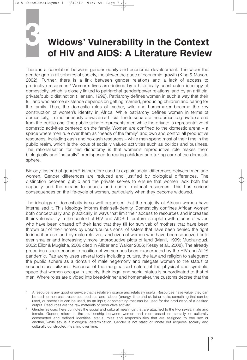**3**

## **Widows' Vulnerability in the Context of HIV and AIDS: A Literature Review**

There is a correlation between gender equity and economic development. The wider the gender gap in all spheres of society, the slower the pace of economic growth (King & Mason, 2002). Further, there is a link between gender relations and a lack of access to productive resources. <sup>2</sup> Women's lives are defined by a historically constructed ideology of domesticity, which is closely linked to patriarchal gender/power relations, and by an artificial private/public distinction (Hansen, 1992). Patriarchy defines women in such a way that their full and wholesome existence depends on getting married, producing children and caring for the family. Thus, the domestic roles of mother, wife and homemaker become the key construction of women's identity in Africa. While patriarchy defines women in terms of domesticity, it simultaneously draws an artificial line to separate the domestic (private) arena from the public one. The public sphere represents men while the private is representative of domestic activities centered on the family. Women are confined to the domestic arena – a space where men rule over them as "heads of the family" and own and control all productive resources, including cash and no-cash resources – while men spend most of their time in the public realm, which is the locus of socially valued activities such as politics and business. The rationalisation for this dichotomy is that women's reproductive role makes them biologically and "naturally" predisposed to rearing children and taking care of the domestic sphere.

Biology, instead of gender,<sup>3</sup> is therefore used to explain social differences between men and women. Gender differences are reduced and justified by biological differences. The distinction between public and the private serves to ensure that women lack both the capacity and the means to access and control material resources. This has serious consequences on the life-cycle of women, particularly when they become widowed.

The ideology of domesticity is so well-organised that the majority of African women have internalised it. This ideology informs their self-identity. Domesticity confines African women both conceptually and practically in ways that limit their access to resources and increases their vulnerability in the context of HIV and AIDS. Literature is replete with stories of wives who have been chased off their land that they till for survival; of mothers that have been thrown out of their homes by unscrupulous sons; of sisters that have been denied the right to inherit or use land by male relatives; and even of women who have been squeezed onto ever smaller and increasingly more unproductive plots of land (Manji, 1999; Muchunguzi, 2002; Eilor & Mugisha, 2002 cited in Aliber and Walker 2006; Kessy et al., 2008). The already precarious socio-economic position of women has been exacerbated by the HIV and AIDS pandemic. Patriarchy uses several tools including culture, the law and religion to safeguard the public sphere as a domain of male hegemony and relegate women to the status of second-class citizens. Because of the marginalised nature of the physical and symbolic space that women occupy in society, their legal and social status is subordinated to that of men. Where roles are divided into breadwinner and homemaker, the customs decree that the

<sup>2</sup> A resource is any good or service that is relatively scarce and relatively useful. Resources have value: they can be cash or non-cash resources, such as land, labour (energy, time and skills) or tools; something that can be used, or potentially can be used, as an input; or something that can be used for the production of a desired output. Resources are the raw materials of productive activity.

Gender as used here connotes the social and cultural meanings that are attached to the two sexes, male and female. Gender refers to the relationship between women and men based on socially or culturally constructed and defined identities, status, roles and responsibilities that are assigned to one sex or another, while sex is a biological determination. Gender is not static or innate but acquires socially and culturally constructed meaning over time.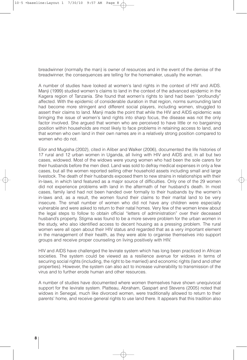breadwinner (normally the man) is owner of resources and in the event of the demise of the breadwinner, the consequences are telling for the homemaker, usually the woman.

A number of studies have looked at women's land rights in the context of HIV and AIDS. Manji (1999) studied women's claims to land in the context of the advanced epidemic in the Kagera region of Tanzania. She found that women's rights to land had been "profoundly" affected. With the epidemic of considerable duration in that region, norms surrounding land had become more stringent and different social players, including women, struggled to assert their claims to land. Manji made the point that while the HIV and AIDS epidemic was bringing the issue of women's land rights into sharp focus, the disease was not the only factor involved. She argued that women who are perceived to have little or no bargaining position within households are most likely to face problems in retaining access to land, and that women who own land in their own names are in a relatively strong position compared to women who do not.

Eilor and Mugisha (2002), cited in Aliber and Walker (2006), documented the life histories of 17 rural and 12 urban women in Uganda, all living with HIV and AIDS and, in all but two cases, widowed. Most of the widows were young women who had been the sole carers for their husbands before the men died. Land was sold to defray medical expenses in only a few cases, but all the women reported selling other household assets including small and large livestock. The death of their husbands exposed them to new strains in relationships with their in-laws, in which land featured as a major source of difficulties. Only one of the 29 women did not experience problems with land in the aftermath of her husband's death. In most cases, family land had not been handed over formally to their husbands by the women's in-laws and, as a result, the women found their claims to their marital land to be very insecure. The small number of women who did not have any children were especially vulnerable and were asked to return to their natal homes. Very few of the women knew about the legal steps to follow to obtain official "letters of administration" over their deceased husband's property. Stigma was found to be a more severe problem for the urban women in the study, who also identified access to decent housing as a pressing problem. The rural women were all open about their HIV status and regarded that as a very important element in the management of their health, as they were able to organise themselves into support groups and receive proper counseling on living positively with HIV.

HIV and AIDS have challenged the levirate system which has long been practiced in African societies. The system could be viewed as a resilience avenue for widows in terms of securing social rights (including, the right to be married) and economic rights (land and other properties). However, the system can also act to increase vulnerability to transmission of the virus and to further erode human and other resources.

A number of studies have documented where women themselves have shown unequivocal support for the levirate system. Platteau, Abraham, Gaspart and Stevens (2005) noted that widows in Senegal, much like divorced women, were traditionally allowed to return to their parents' home, and receive general rights to use land there. It appears that this tradition also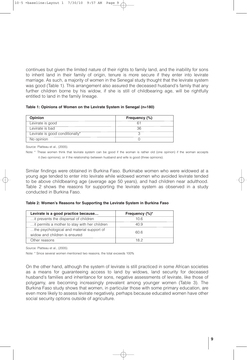continues but given the limited nature of their rights to family land, and the inability for sons to inherit land in their family of origin, tenure is more secure if they enter into levirate marriage. As such, a majority of women in the Senegal study thought that the levirate system was good (Table 1). This arrangement also assured the deceased husband's family that any further children borne by his widow, if she is still of childbearing age, will be rightfully entitled to land in the family lineage.

**Table 1: Opinions of Women on the Levirate System in Senegal (n=180)**

| <b>Opinion</b>                  | Frequency (%) |
|---------------------------------|---------------|
| Levirate is good                |               |
| Levirate is bad                 | 36.           |
| Levirate is good conditionally* |               |
| No opinion                      |               |

Source: Platteau et al., (2005).

Note: \* These women think that levirate system can be good if the woman is rather old (one opinion) if the woman accepts it (two opinions), or if the relationship between husband and wife is good (three opinions).

Similar findings were obtained in Burkina Faso. Burkinabe women who were widowed at a young age tended to enter into levirate while widowed women who avoided levirate tended to be above childbearing age (average age 50 years), and had children near adulthood. Table 2 shows the reasons for supporting the levirate system as observed in a study conducted in Burkina Faso.

| Table 2: Women's Reasons for Supporting the Levirate System in Burkina Faso |  |  |  |  |  |  |
|-----------------------------------------------------------------------------|--|--|--|--|--|--|
|-----------------------------------------------------------------------------|--|--|--|--|--|--|

| Levirate is a good practice because           | Frequency (%)* |  |
|-----------------------------------------------|----------------|--|
| it prevents the dispersal of children         | 10 6           |  |
| it permits a mother to stay with her children | 40.9           |  |
| the psychological and material support of     | 60 G           |  |
| widow and children is ensured                 |                |  |
| Other reasons                                 | 18 2           |  |

Source: Platteau et al., (2005).

Note: \* Since several women mentioned two reasons, the total exceeds 100%

On the other hand, although the system of levirate is still practiced in some African societies as a means for guaranteeing access to land by widows, land security for deceased husband's families and inheritance for sons, negative assessments of levirate, like those of polygamy, are becoming increasingly prevalent among younger women (Table 3). The Burkina Faso study shows that women, in particular those with some primary education, are even more likely to assess levirate negatively, perhaps because educated women have other social security options outside of agriculture.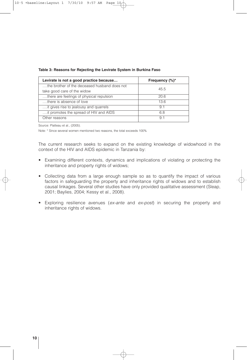| Levirate is not a good practice because      | Frequency $(\%)^*$ |
|----------------------------------------------|--------------------|
| the brother of the deceased husband does not |                    |
| take good care of the widow                  | 45.5               |
| there are feelings of physical repulsion     | 20.6               |
| there is absence of love                     | 13.6               |
| it gives rise to jealousy and quarrels       | 91                 |
| it promotes the spread of HIV and AIDS       | 68                 |
| Other reasons                                | 9.                 |

#### **Table 3: Reasons for Rejecting the Levirate System in Burkina Faso**

Source: Platteau et al., (2005).

Note: \* Since several women mentioned two reasons, the total exceeds 100%

The current research seeks to expand on the existing knowledge of widowhood in the context of the HIV and AIDS epidemic in Tanzania by:

- Examining different contexts, dynamics and implications of violating or protecting the inheritance and property rights of widows;
- Collecting data from a large enough sample so as to quantify the impact of various factors in safeguarding the property and inheritance rights of widows and to establish causal linkages. Several other studies have only provided qualitative assessment (Sleap, 2001; Baylies, 2004; Kessy et al., 2008).
- Exploring resilience avenues (*ex-ante* and *ex-post*) in securing the property and inheritance rights of widows.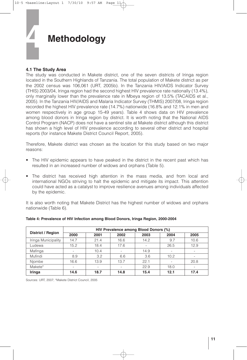

#### **4.1 The Study Area**

The study was conducted in Makete district, one of the seven districts of Iringa region located in the Southern Highlands of Tanzania. The total population of Makete district as per the 2002 census was 106,061 (URT, 2005b). In the Tanzania HIV/AIDS Indicator Survey (THIS) 2003/04, Iringa region had the second highest HIV prevalence rate nationally (13.4%), only marginally lower than the prevalence rate in Mbeya region of 13.5% (TACAIDS et al., 2005). In the Tanzania HIV/AIDS and Malaria Indicator Survey (THMIS) 2007/08, Iringa region recorded the highest HIV prevalence rate (14.7%) nationwide (16.8% and 12.1% in men and women respectively in age group 15-49 years). Table 4 shows data on HIV prevalence among blood donors in Iringa region by district. It is worth noting that the National AIDS Control Program (NACP) does not have a sentinel site at Makete district although this district has shown a high level of HIV prevalence according to several other district and hospital reports (for instance Makete District Council Report, 2005).

Therefore, Makete district was chosen as the location for this study based on two major reasons:

- The HIV epidemic appears to have peaked in the district in the recent past which has resulted in an increased number of widows and orphans (Table 5).
- The district has received high attention in the mass media, and from local and international NGOs striving to halt the epidemic and mitigate its impact. This attention could have acted as a catalyst to improve resilience avenues among individuals affected by the epidemic.

It is also worth noting that Makete District has the highest number of widows and orphans nationwide (Table 6).

|                          | HIV Prevalence among Blood Donors (%) |      |      |      |      |      |  |
|--------------------------|---------------------------------------|------|------|------|------|------|--|
| <b>District / Region</b> | 2000                                  | 2001 | 2002 | 2003 | 2004 | 2005 |  |
| Iringa Municipality      | 14.7                                  | 21.4 | 16.6 | 14.2 | 9.7  | 10.6 |  |
| Ludewa                   | 15.2                                  | 18.4 | 17.6 |      | 26.5 | 12.9 |  |
| Mafinga                  |                                       | 10.4 |      | 14.9 |      |      |  |
| Mufindi                  | 8.9                                   | 3.2  | 6.6  | 3.6  | 10.2 |      |  |
| Njombe                   | 16.6                                  | 13.9 | 13.7 | 22.1 |      | 20.8 |  |
| Makete*                  | ۰.                                    | ۰    |      | 22.9 | 18.0 |      |  |
| Iringa                   | 14.6                                  | 18.7 | 14.8 | 15.4 | 12.1 | 17.4 |  |

#### **Table 4: Prevalence of HIV Infection among Blood Donors, Iringa Region, 2000-2004**

Sources: URT, 2007; \*Makete District Council, 2005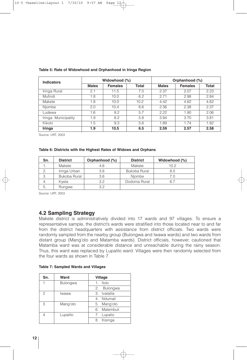| <b>Indicators</b>   | Widowhood (%) |                |              | Orphanhood (%) |                |       |  |
|---------------------|---------------|----------------|--------------|----------------|----------------|-------|--|
|                     | <b>Males</b>  | <b>Females</b> | <b>Total</b> | <b>Males</b>   | <b>Females</b> | Total |  |
| Iringa Rural        | 2.1           | 11.5           | 7.0          | 2.37           | 2.07           | 2.23  |  |
| Mufindi             | 1.8           | 10.0           | 6.2          | 2.71           | 2.98           | 2.84  |  |
| Makete              | 1.8           | 10.0           | 10.2         | 4.42           | 4.82           | 4.62  |  |
| Njombe              | 2.0           | 10.4           | 6.6          | 2.36           | 2.38           | 2.37  |  |
| Ludewa              | 1.6           | 9.2            | 5.7          | 2.22           | 1.90           | 2.06  |  |
| Iringa Municipality | 1.9           | 8.2            | 5.8          | 3.94           | 3.70           | 3.81  |  |
| Kikolo              | 1.5           | 9.3            | 5.6          | 1.89           | 1.74           | 1.82  |  |
| Iringa              | 1.9           | 10.5           | 6.5          | 2.59           | 2.57           | 2.58  |  |

#### **Table 5: Rate of Widowhood and Orphanhood in Iringa Region**

Source: URT, 2003

#### **Table 6: Districts with the Highest Rates of Widows and Orphans**

| Sn. | <b>District</b> | Orphanhood (%) | <b>District</b> | Widowhood (%) |
|-----|-----------------|----------------|-----------------|---------------|
|     | Makete          | 4.6            | Makete          | 10.2          |
|     | Iringa Urban    | 3.8            | Bukoba Rural    | 8.0           |
| 3.  | Bukoba Rural    | 3.6            | Niombe          | 7.0           |
|     | Kvela           | 3.2            | Dodoma Rural    | 6.7           |
|     | Rungwe          | 32             |                 |               |

Source: URT, 2003

#### **4.2 Sampling Strategy**

Makete district is administratively divided into 17 wards and 97 villages. To ensure a representative sample, the district's wards were stratified into those located near to and far from the district headquarters with assistance from district officials. Two wards were randomly sampled from the nearby group (Bulongwa and Iwawa wards) and two wards from distant group (Mang'oto and Matamba wards). District officials, however, cautioned that Matamba ward was at considerable distance and unreachable during the rainy season. Thus, this ward was replaced by Lupalilo ward. Villages were then randomly selected from the four wards as shown in Table 7.

| Sn. | Ward            | Village                 |
|-----|-----------------|-------------------------|
|     | <b>Bulongwa</b> | llolo<br>$\mathbf{1}$ . |
|     |                 | Bulongwa<br>2.          |
| 2   | Iwawa           | Ivalalila<br>3.         |
|     |                 | 4. Ndumali              |
| 3   | Mang'oto        | Mang'oto<br>5.          |
|     |                 | 6. Malembuli            |
|     | Lupalilo        | 7. Lupalio              |
|     |                 | Kisinga<br>8            |

|  | <b>Table 7: Sampled Wards and Villages</b> |  |  |  |
|--|--------------------------------------------|--|--|--|
|--|--------------------------------------------|--|--|--|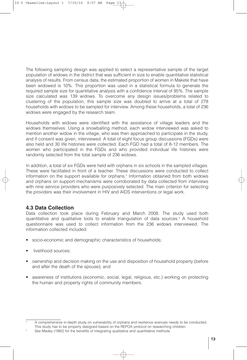The following sampling design was applied to select a representative sample of the target population of widows in the district that was sufficient in size to enable quantitative statistical analysis of results. From census data, the estimated proportion of women in Makete that have been widowed is 10%. This proportion was used in a statistical formula to generate the required sample size for quantitative analysis with a confidence interval of 95%. The sample size calculated was 139 widows. To overcome any design issues/problems related to clustering of the population, this sample size was doubled to arrive at a total of 278 households with widows to be sampled for interview. Among these households, a total of 236 widows were engaged by the research team.

Households with widows were identified with the assistance of village leaders and the widows themselves. Using a snowballing method, each widow interviewed was asked to mention another widow in the village, who was then approached to participate in the study, and if consent was given, interviewed. A total of eight focus group discussions (FGDs) were also held and 30 life histories were collected. Each FGD had a total of 8-12 members. The women who participated in the FGDs and who provided individual life histories were randomly selected from the total sample of 236 widows.

In addition, a total of six FGDs were held with orphans in six schools in the sampled villages. These were facilitated in front of a teacher. These discussions were conducted to collect information on the support available for orphans. <sup>4</sup> Information obtained from both widows and orphans on support mechanisms were corroborated by data collected from interviews with nine service providers who were purposively selected. The main criterion for selecting the providers was their involvement in HIV and AIDS interventions or legal work.

#### **4.3 Data Collection**

Data collection took place during February and March 2008. The study used both quantitative and qualitative tools to enable triangulation of data sources. <sup>5</sup> A household questionnaire was used to collect information from the 236 widows interviewed. The information collected included:

- socio-economic and demographic characteristics of households;
- livelihood sources;
- ownership and decision making on the use and disposition of household property (before and after the death of the spouse); and
- awareness of institutions (economic, social, legal, religious, etc.) working on protecting the human and property rights of community members.

<sup>4</sup> A comprehensive in-depth study on vulnerability of orphans and resilience avenues needs to be conducted. This study has to be properly designed based on the REPOA protocol on researching children.

<sup>5</sup> See Madey (1982) for the benefits of integrating qualitative and quantitative methods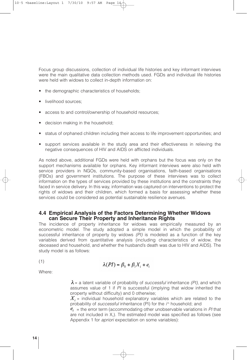Focus group discussions, collection of individual life histories and key informant interviews were the main qualitative data collection methods used. FGDs and individual life histories were held with widows to collect in-depth information on:

- the demographic characteristics of households;
- livelihood sources;
- access to and control/ownership of household resources;
- decision making in the household;
- status of orphaned children including their access to life improvement opportunities; and
- support services available in the study area and their effectiveness in relieving the negative consequences of HIV and AIDS on afflicted individuals.

As noted above, additional FGDs were held with orphans but the focus was only on the support mechanisms available for orphans. Key informant interviews were also held with service providers in NGOs, community-based organisations, faith-based organisations (FBOs) and government institutions. The purpose of these interviews was to collect information on the types of services provided by these institutions and the constraints they faced in service delivery. In this way, information was captured on interventions to protect the rights of widows and their children, which formed a basis for assessing whether these services could be considered as potential sustainable resilience avenues.

#### **4.4 Empirical Analysis of the Factors Determining Whether Widows can Secure Their Property and Inheritance Rights**

The incidence of property inheritance for widows was empirically measured by an econometric model. The study adopted a simple model in which the probability of successful inheritance of property by widows *(PI)* is modeled as a function of the key variables derived from quantitative analysis (including characteristics of widow, the deceased and household, and whether the husband's death was due to HIV and AIDS). The study model is as follows:

(1)

$$
\lambda(PI) = \beta_0 + \beta_i X_i + e_i
$$

Where:

 $\lambda$  = a latent variable of probability of *successful* inheritance *(PI)*, and which assumes value of 1 if *PI* is successful (implying that widow inherited the property without difficulty) and 0 otherwise;

 $X_i$  = individual household explanatory variables which are related to the probability of *successful* inheritance (PI) for the *i*<sup>th</sup> household; and

 $e_i$  = the error term (accommodating other unobservable variations in *PI* that are not included in  $X_i$ ). The estimated model was specified as follows (see Appendix 1 for *apriori* expectation on some variables):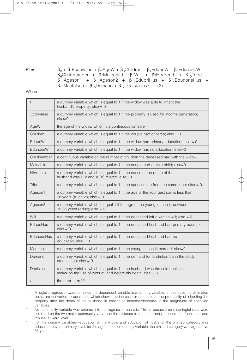PI =  $\beta_0 + \beta_1$ Econvalue + β2AgeW + β<sub>3</sub>Children + β<sub>4</sub>EdupriW + β<sub>5</sub>EdunoneW +  $\beta_6$ Childnumber + β7Malechild +β8Will + β9HIVdeath + β<sub>10</sub>Tribe +  $\beta_{11}$ Ageson1 + β<sub>12</sub>Ageson2 + β<sub>13</sub>EdupriHus + β<sub>14</sub>EdunoneHus + β15Maritalson + β16Demand + β17Decision +*e*……(2)

Where:

| PI               | a dummy variable which is equal to 1 if the widow was able to inherit the<br>husband's property; $else = 0$                                 |  |  |
|------------------|---------------------------------------------------------------------------------------------------------------------------------------------|--|--|
| Econvalue        | a dummy variable which is equal to 1 if the property is used for income generation;<br>$else=0$                                             |  |  |
| AgeW             | the age of the widow which is a continuous variable                                                                                         |  |  |
| Children         | a dummy variable which is equal to 1 if the couple had children; else = 0                                                                   |  |  |
| EdupriW          | a dummy variable which is equal to 1 if the widow had primary education; else = $0$                                                         |  |  |
| FdunoneW         | a dummy variable which is equal to 1 if the widow has no education; else=0                                                                  |  |  |
| Childnumber      | a continuous variable on the number of children the deceased had with the widow                                                             |  |  |
| Malechild        | a dummy variable which is equal to 1 if the couple had a male child; else=0                                                                 |  |  |
| <b>HIV</b> death | a dummy variable which is equal to 1 if the cause of the death of the<br>husband was HIV and AIDS related; else $= 0$                       |  |  |
| Tribe            | a dummy variable which is equal to 1 if the spouses are from the same tribe; else = $0$ .                                                   |  |  |
| Ageson1          | a dummy variable which is equal to 1 if the age of the youngest son is less than<br>18 years (a child); else = $0$ .                        |  |  |
| Ageson2          | a dummy variable which is equal 1 if the age of the youngest son is between<br>19-35 years (adult); else = $0$ .                            |  |  |
| Will             | a dummy variable which is equal to 1 if the deceased left a written will; else $= 0$                                                        |  |  |
| EdupriHus        | a dummy variable which is equal to 1 if the deceased husband had primary education;<br>$else = 0$                                           |  |  |
| EdunoneHus       | a dummy variable which is equal to 1 if the deceased husband had no<br>education; $else = 0$                                                |  |  |
| Maritalson       | a dummy variable which is equal to 1 if the youngest son is married; else=0                                                                 |  |  |
| Demand           | a dummy variable which is equal to 1 if the demand for land/shamba in the study<br>area is high; $else = 0$                                 |  |  |
| Decision         | a dummy variable which is equal to 1 if the husband was the sole decision<br>maker on the use of plots of land before his death; else = $0$ |  |  |
| e                | the error term. <sup>6,7,8</sup>                                                                                                            |  |  |

<sup>6</sup> A logistic regression was run since the dependent variable is a dummy variable. In this case the estimated betas are converted to odds ratio which shows the increase or decrease in the probability of inheriting the property after the death of the husband in relation to increase/decrease in the magnitude of specified variables.

No community variable was entered into the regression analysis. This is because no meaningful data were obtained on the two major community variables; the distance to the court and presence of a functional land tribunal at ward level.

For the dummy variables—education of the widow and education of husband, the omitted category was education beyond primary level; for the age of the son dummy variable, the omitted category was age above 35 years.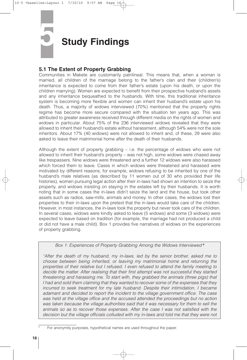## **5 Study Findings**

#### **5.1 The Extent of Property Grabbing**

Communities in Makete are customarily patrilineal. This means that, when a woman is married, all children of the marriage belong to the father's clan and their (children's) inheritance is expected to come from their father's estate (upon his death, or upon the children marrying). Women are expected to benefit from their prospective husband's assets and any inheritance bequeathed to the husbands. With time, this traditional inheritance system is becoming more flexible and women can inherit their husband's estate upon his death. Thus, a majority of widows interviewed (70%) mentioned that the property rights regime has become more secure compared with the situation ten years ago. This was attributed to greater awareness received through different media on the rights of women and widows in particular. About 75% of the 236 interviewed widows revealed that they were allowed to inherit their husband's estate without harassment, although 54% were not the sole inheritors. About 17% (40 widows) were not allowed to inherit and, of these, 29 were also asked to leave their matrimonial home after the death of their husbands.

Although the extent of property grabbing – i.e. the percentage of widows who were not allowed to inherit their husband's property – was not high, some widows were chased away like trespassers. Nine widows were threatened and a further 12 widows were also harassed which forced them to leave. Cases in which widows were threatened and harassed were motivated by different reasons, for example, widows refusing to be inherited by one of the husband's male relatives (as described by 11 women out of 30 who provided their life histories), women pursuing legal action after their in-laws had shown an intention to seize the property, and widows insisting on staying in the estates left by their husbands. It is worth noting that in some cases the in-laws didn't seize the land and the house, but took other assets such as radios, saw-mills, animals and money. In other cases, the widows lost their properties to their in-laws upon the pretext that the in-laws would take care of the children. However, in most instances, the in-laws took the property but never took care of the children. In several cases, widows were kindly asked to leave (5 widows) and some (3 widows) were expected to leave based on tradition (for example, the marriage had not produced a child or did not have a male child). Box 1 provides five narratives of widows on the experiences of property grabbing.

*Box 1: Experiences of Property Grabbing Among the Widows Interviewed* **<sup>9</sup>**

*"After the death of my husband, my in-laws, led by the senior brother, asked me to choose between being inherited, or leaving my matrimonial home and returning the properties of their relative but I refused. I even refused to attend the family meeting to decide the matter. After realising that their first attempt was not successful they started threatening and harassing me. To start with, they grabbed the animals (three pigs) that I had and sold them claiming that they wanted to recover some of the expenses that they incurred to seek treatment for my late husband. Despite their intimidation, I became adamant and decided to report the incident to the village government office. The case was held at the village office and the accused attended the proceedings but no action was taken because the village authorities said that it was necessary for them to sell the animals so as to recover those expenses. After the case I was not satisfied with the decision but the village officials colluded with my in-laws and told me that they were not*

<sup>9</sup> For anonymity purposes, hypothetical names are used throughout the paper.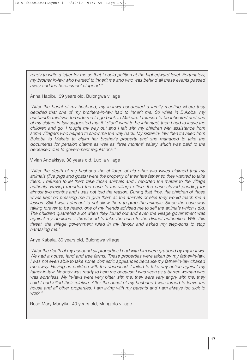*ready to write a letter for me so that I could petition at the higher/ward level. Fortunately, my brother in-law who wanted to inherit me and who was behind all these events passed away and the harassment stopped."*

Anna Habibu, 39 years old, Bulongwa village

*"After the burial of my husband, my in-laws conducted a family meeting where they decided that one of my brothers-in-law had to inherit me. So while in Bukoba, my husband's relatives forbade me to go back to Makete. I refused to be inherited and one of my sisters-in-law suggested that if I didn't want to be inherited, then I had to leave the children and go. I fought my way out and I left with my children with assistance from some villagers who helped to show me the way back. My sister-in- law then traveled from Bukoba to Makete to claim her brother's property and she managed to take the documents for pension claims as well as three months' salary which was paid to the deceased due to government regulations."*

Vivian Andakisye, 36 years old, Lupila village

*"After the death of my husband the children of his other two wives claimed that my animals (five pigs and goats) were the property of their late father so they wanted to take them. I refused to let them take those animals and I reported the matter to the village authority. Having reported the case to the village office, the case stayed pending for almost two months and I was not told the reason. During that time, the children of those wives kept on pressing me to give them all the animals or else they would teach me a lesson. Still I was adamant to not allow them to grab the animals. Since the case was taking forever to be heard, one of my friends advised me to sell the animals which I did. The children quarreled a lot when they found out and even the village government was against my decision. I threatened to take the case to the district authorities. With this threat, the village government ruled in my favour and asked my step-sons to stop harassing me."*

Anye Kabala, 30 years old, Bulongwa village

*"After the death of my husband all properties I had with him were grabbed by my in-laws. We had a house, land and tree farms. These properties were taken by my father-in-law. I was not even able to take some domestic appliances because my father-in-law chased me away. Having no children with the deceased, I failed to take any action against my father-in-law. Nobody was ready to help me because I was seen as a barren woman who was worthless. My in-laws were very bitter with me; they were very angry with me, they said I had killed their relative. After the burial of my husband I was forced to leave the house and all other properties. I am living with my parents and I am always too sick to work."*

Rose-Mary Manyika, 40 years old, Mang'oto village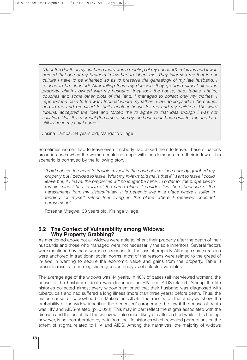*"After the death of my husband there was a meeting of my husband's relatives and it was agreed that one of my brothers-in-law had to inherit me. They informed me that in our culture I have to be inherited so as to preserve the genealogy of my late husband. I refused to be inherited! After telling them my decision, they grabbed almost all of the property which I owned with my husband; they took the house, bed, tables, chairs, couches and some other plots of the land. I managed to collect only my clothes. I reported the case to the ward tribunal where my father-in-law apologised to the council and to me and promised to build another house for me and my children. The ward tribunal accepted the idea and forced me to agree to that idea though I was not satisfied. Until this moment (the time of survey) no house has been built for me and I am still living in my natal home."*

Josina Kamba, 34 years old, Mango'to village

Sometimes women had to leave even if nobody had asked them to leave. These situations arose in cases when the women could not cope with the demands from their in-laws. This scenario is portrayed by the following story;

*"I did not see the need to trouble myself in the court of law since nobody grabbed my* property but I decided to leave. What my in-laws told me is that if I want to leave I could *leave but, if I leave, the properties will no longer be mine. In order for the properties to remain mine I had to live at the same place. I couldn't live there because of the harassments from my sisters-in-law. It is better to live in a place where I suffer in fending for myself rather that living in the place where I received constant harassment."*

Roseana Mtegwa, 33 years old, Kisinga village.

#### **5.2 The Context of Vulnerability among Widows: Why Property Grabbing?**

As mentioned above not all widows were able to inherit their property after the death of their husbands and those who managed were not necessarily the sole inheritors. Several factors were mentioned by these women as reasons for the loss of property. Although some reasons were anchored in traditional social norms, most of the reasons were related to the greed of in-laws in wanting to secure the economic value and gains from the property. Table 8 presents results from a logistic regression analysis of selected variables.

The average age of the widows was 44 years. In 48% of cases (all interviewed women), the cause of the husband's death was described as HIV and AIDS-related. Among the life histories collected almost every widow mentioned that their husband was diagnosed with tuberculosis and had suffered a long illness (more than three years) before death. Thus, the major cause of widowhood in Makete is AIDS. The results of the analysis show the probability of the widow inheriting the deceased's property to be low if the cause of death was HIV and AIDS-related (p=0.023). This may in part reflect the stigma associated with the disease and the belief that the widow will also most likely die after a short while. This finding, however, is not corroborated by data from the life histories which revealed perceptions on the extent of stigma related to HIV and AIDS. Among the narratives, the majority of widows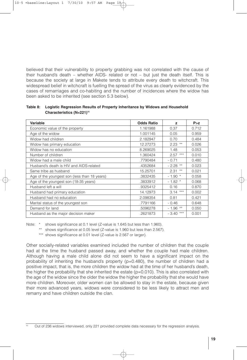believed that their vulnerability to property grabbing was not correlated with the cause of their husband's death – whether AIDS- related or not – but just the death itself. This is because the society at large in Makete tends to attribute every death to witchcraft. This widespread belief in witchcraft is fuelling the spread of the virus as clearly evidenced by the cases of remarriages and co-habiting and the number of incidences where the widow has been asked to be inherited (see section 5.3 below).

| Variable                                     | <b>Odds Ratio</b> | z                | P > z |
|----------------------------------------------|-------------------|------------------|-------|
| Economic value of the property               | 1.161988          | 0.37             | 0.712 |
| Age of the widow                             | 1.001145          | 0.05             | 0.959 |
| Widow had children                           | 2.182947          | 0.70             | 0.484 |
| Widow has primary education                  | 12.27273          | $2.23$ **        | 0.026 |
| Widow has no education                       | 8.269025          | 1.48             | 0.053 |
| Number of children                           | 1.360424          | $***$<br>2.57    | 0.010 |
| Widow had a male child                       | .7790484          | $-0.71$          | 0.480 |
| Husband's death is HIV and AIDS-related      | .4352684          | $-2.28$ **       | 0.023 |
| Same tribe as husband                        | 15.25701          | $***$<br>2.31    | 0.021 |
| Age of the youngest son (less than 18 years) | .3832435          | $-1.90$ *        | 0.058 |
| Age of the youngest son (18-35 years)        | .3833912          | $-1.82$ *        | 0.068 |
| Husband left a will                          | .9325412          | 0.16             | 0.870 |
| Husband had primary education                | 14.12973          | $***$<br>3.14    | 0.002 |
| Husband had no education                     | 2.098354          | 0.81             | 0.421 |
| Marital status of the youngest son           | .7791166          | $-0.46$          | 0.648 |
| Demand for land                              | .5096278          | $-1.96$ **       | 0.050 |
| Husband as the major decision maker          | .2621873          | $***$<br>$-3.40$ | 0.001 |

**Table 8: Logistic Regression Results of Property Inheritance by Widows and Household Characteristics (N=221) 10**

Note: \* shows significance at 0.1 level (Z-value is 1.645 but less than 1.960).

\*\* shows significance at 0.05 level (Z-value is 1.960 but less than 2.567).

\*\*\* shows significance at 0.01 level (Z-value is 2.567 or larger).

Other socially-related variables examined included the number of children that the couple had at the time the husband passed away, and whether the couple had male children. Although having a male child alone did not seem to have a significant impact on the probability of inheriting the husband's property ( $p=0.480$ ), the number of children had a positive impact, that is, the more children the widow had at the time of her husband's death, the higher the probability that she inherited the estate  $(p=0.010)$ . This is also correlated with the age of the widow since the older the widow the higher the probability that she would have more children. Moreover, older women can be allowed to stay in the estate, because given their more advanced years, widows were considered to be less likely to attract men and remarry and have children outside the clan.

Out of 236 widows interviewed, only 221 provided complete data necessary for the regression analysis.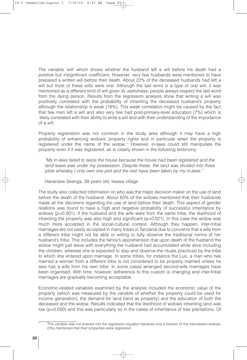The variable 'will' which shows whether the husband left a will before his death had a positive but insignificant coefficient. However, very few husbands were mentioned to have prepared a written will before their death. About 22% of the deceased husbands had left a will but most of these wills were oral. Although the last word is a type of oral will, it was mentioned as a different kind of will given its usefulness; people always respect the last word from the dying person. Results from the regression analysis show that writing a will was positively correlated with the probability of inheriting the deceased husband's property although the relationship is weak (18%). This weak correlation might be caused by the fact that few men left a will and also very few had post-primary-level education (7%) which is likely correlated with their ability to write a will and with their understanding of the importance of a will.

Property registration was not common in the study area although it may have a high probability of enhancing widows' property rights and in particular when the property is registered under the name of the widow.<sup>11</sup> However, in-laws could still manipulate the property even if it was registered, as is clearly shown in the following testimony:

*"My in-laws failed to seize the house because the house had been registered and the land lease was under my possession. Despite these, the land was divided into three plots whereby I only own one plot and the rest have been taken by my in-laws."*

Hananase Seenga, 39 years old, Iwawa village

The study also collected information on who was the major decision maker on the use of land before the death of the husband. About 63% of the widows mentioned that their husbands made all the decisions regarding the use of land before their death. This aspect of gender relations was found to have a high and negative probability of successful inheritance by widows ( $p=0.001$ ). If the husband and the wife were from the same tribe, the likelihood of inheriting the property was also high and significant ( $p=0.021$ ). In this case the widow was much more accepted in the social-cultural context. Although they happen, inter-tribal marriages are not easily accepted in many tribes in Tanzania due to concerns that a wife from a different tribe might not be able or willing to fully observe the traditional norms of her husband's tribe. This includes the family's apprehension that upon death of the husband the widow might just leave with everything the husband had accumulated while alive including the children, whereas she is expected to stay and observe the rituals practiced by the tribe to which she entered upon marriage. In some tribes, for instance the Luo, a man who has married a woman from a different tribe is not considered to be properly married unless he also has a wife from his own tribe. In some cases arranged second-wife marriages have been organised. With time, however, adherence to this custom is changing and inter-tribal marriages are gradually becoming acceptable.

Economic-related variables examined by the analysis included the economic value of the property (which was measured by the variable of whether the property could be used for income generation), the demand for land (land as property) and the education of both the deceased and the widow. Results indicated that the likelihood of widows inheriting land was low (p=0.050) and this was particularly so in the cases of inheritance of tree plantations. Of

This variable was not entered into the regression equation because only a fraction of the interviewed widows (3%) mentioned that their properties were registered.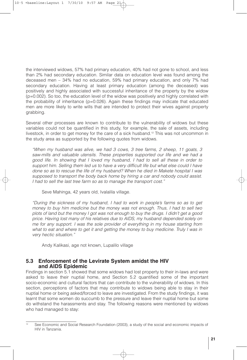the interviewed widows, 57% had primary education, 40% had not gone to school, and less than 2% had secondary education. Similar data on education level was found among the deceased men – 34% had no education, 59% had primary education, and only 7% had secondary education. Having at least primary education (among the deceased) was positively and highly associated with successful inheritance of the property by the widow (p=0.002). So too, the education level of the widow was positively and highly correlated with the probability of inheritance ( $p=0.026$ ). Again these findings may indicate that educated men are more likely to write wills that are intended to protect their wives against property grabbing.

Several other processes are known to contribute to the vulnerability of widows but these variables could not be quantified in this study, for example, the sale of assets, including livestock, in order to get money for the care of a sick husband. <sup>12</sup> This was not uncommon in the study area as supported by the following quotes from widows.

*"When my husband was alive, we had 3 cows, 3 tree farms, 2 sheep, 11 goats, 3 saw-mills and valuable utensils. These properties supported our life and we had a good life. In showing that I loved my husband, I had to sell all these in order to support him. Selling them led us to have a very difficult life but what else could I have done so as to rescue the life of my husband? When he died in Makete hospital I was supposed to transport the body back home by hiring a car and nobody could assist. I had to sell the last tree farm so as to manage the transport cost."*

Seve Mahinga, 42 years old, Ivalalila village.

*"During the sickness of my husband, I had to work in people's farms so as to get money to buy him medicine but the money was not enough. Thus, I had to sell two* plots of land but the money I got was not enough to buy the drugs. I didn't get a good *price. Having lost many of his relatives due to AIDS, my husband depended solely on me for any support. I was the sole provider of everything in my house starting from what to eat and where to get it and getting the money to buy medicine. Truly I was in very hectic situation."*

Andy Kalikasi, age not known, Lupalilo village

#### **5.3 Enforcement of the Levirate System amidst the HIV and AIDS Epidemic**

Findings in section 5.1 showed that some widows had lost property to their in-laws and were asked to leave their nuptial home, and Section 5.2 quantified some of the important socio-economic and cultural factors that can contribute to the vulnerability of widows. In this section, perceptions of factors that may contribute to widows being able to stay in their nuptial home or being asked/forced to leave are investigated. From the study findings, it was learnt that some women do succumb to the pressure and leave their nuptial home but some do withstand the harassments and stay. The following reasons were mentioned by widows who had managed to stay:

See Economic and Social Research Foundation (2003), a study of the social and economic impacts of HIV in Tanzania.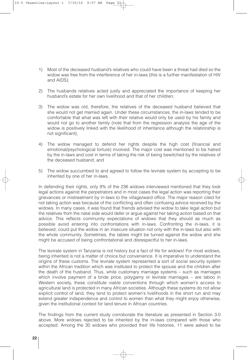- 1) Most of the deceased husband's relatives who could have been a threat had died so the widow was free from the interference of her in-laws (this is a further manifestation of HIV and AIDS);
- 2) The husbands relatives acted justly and appreciated the importance of keeping her husband's estate for her own livelihood and that of her children;
- 3) The widow was old, therefore, the relatives of the deceased husband believed that she would not get married again. Under these circumstances, the in-laws tended to be comfortable that what was left with their relative would only be used by his family and would not go to another family (note that from the regression analysis the age of the widow is positively linked with the likelihood of inheritance although the relationship is not significant);
- 4) The widow managed to defend her rights despite the high cost (financial and emotional/psychological torture) involved. The major cost was mentioned to be hatred by the in-laws and cost in terms of taking the risk of being bewitched by the relatives of the deceased husband; and
- 5) The widow succumbed to and agreed to follow the levirate system by accepting to be inherited by one of her in-laws.

In defending their rights, only 9% of the 236 widows interviewed mentioned that they took legal actions against the perpetrators and in most cases the legal action was reporting their grievances or mistreatment by in-laws to the village/ward office. The major reason cited for not taking action was because of the conflicting and often confusing advice received by the widows. In many cases, it was found that friends advised the widow to take legal action but the relatives from the natal side would defer or argue against her taking action based on that advice. This reflects community expectations of widows that they should as much as possible avoid entering into confrontations with in-laws. Confronting the in-laws, it is believed, could put the widow in an insecure situation not only with the in-laws but also with the whole community. Sometimes, the tables might be turned against the widow and she might be accused of being confrontational and disrespectful to her in-laws.

The levirate system in Tanzania is not history but a fact of life for widows! For most widows, being inherited is not a matter of choice but convenience. It is imperative to understand the origins of these customs. The levirate system represented a sort of social security system within the African tradition which was instituted to protect the spouse and the children after the death of the husband. Thus, while customary marriage systems – such as marriages which involve payment of a bride price, polygamy or levirate marriages – are taboo in Western society, these constitute viable conventions through which women's access to agricultural land is protected in many African societies. Although these systems do not allow explicit control of land, they tend to protect women's livelihoods in the short run and may extend greater independence and control to women than what they might enjoy otherwise, given the institutional context for land tenure in African countries.

The findings from the current study corroborate the literature as presented in Section 3.0 above. More widows rejected to be inherited by the in-laws compared with those who accepted. Among the 30 widows who provided their life histories, 11 were asked to be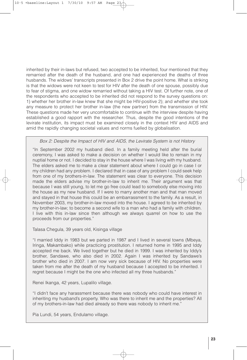inherited by their in-laws but refused, two accepted to be inherited, four mentioned that they remarried after the death of the husband, and one had experienced the deaths of three husbands. The widows' transcripts presented in Box 2 drive the point home. What is striking is that the widows were not keen to test for HIV after the death of one spouse, possibly due to fear of stigma, and one widow remarried without taking a HIV test. Of further note, one of the respondents who accepted to be inherited did not respond to the survey questions on: 1) whether her brother in-law knew that she might be HIV-positive 2); and whether she took any measure to protect her brother in-law (the new partner) from the transmission of HIV. These questions made her very uncomfortable to continue with the interview despite having established a good rapport with the researcher. Thus, despite the good intentions of the levirate institution, its impact must be examined closely in the context HIV and AIDS and amid the rapidly changing societal values and norms fuelled by globalisation.

*Box 2: Despite the Impact of HIV and AIDS, the Levirate System is not History*

"In September 2002 my husband died. In a family meeting held after the burial ceremony, I was asked to make a decision on whether I would like to remain in my nuptial home or not. I decided to stay in the house where I was living with my husband. The elders asked me to make a clear statement about where I could go in case I or my children had any problem. I declared that in case of any problem I could seek help from one of my brothers-in-law. The statement was clear to everyone. This decision made the elders advise my brother-in-law to inherit me. Their argument was that because I was still young, to let me go free could lead to somebody else moving into the house as my new husband. If I were to marry another man and that man moved and stayed in that house this could be an embarrassment to the family. As a result, in November 2003, my brother-in-law moved into the house. I agreed to be inherited by my brother-in-law; to become a second wife to a man who had a family with children. I live with this in-law since then although we always quarrel on how to use the proceeds from our properties."

Talasa Chegula, 39 years old, Kisinga village

"I married Iddy in 1983 but we parted in 1987 and I lived in several towns (Mbeya, Iringa, Makambako) while practicing prostitution. I returned home in 1995 and Iddy accepted me back. We lived together but he died in 1999. I was inherited by Iddy's brother, Sandawe, who also died in 2002. Again I was inherited by Sandawe's brother who died in 2007. I am now very sick because of HIV. No properties were taken from me after the death of my husband because I accepted to be inherited. I regret because I might be the one who infected all my three husbands."

Renei Ikanga, 42 years, Lupalilo village.

"I didn't face any harassment because there was nobody who could have interest in inheriting my husband's property. Who was there to inherit me and the properties? All of my brothers-in-law had died already so there was nobody to inherit me."

Pia Lundi, 54 years, Endulamo village.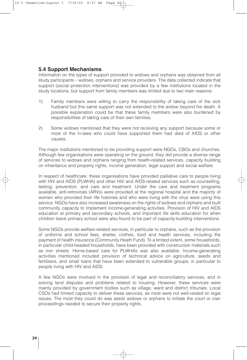#### **5.4 Support Mechanisms**

Information on the types of support provided to widows and orphans was obtained from all study participants – widows, orphans and service providers. The data collected indicate that support (social protection interventions) was provided by a few institutions located in the study locations, but support from family members was limited due to two main reasons:

- 1) Family members were willing to carry the responsibility of taking care of the sick husband but this same support was not extended to the widow beyond his death. A possible explanation could be that these family members were also burdened by responsibilities of taking care of their own families;
- 2) Some widows mentioned that they were not receiving any support because some or most of the in-laws who could have supported them had died of AIDS or other causes.

The major institutions mentioned to be providing support were NGOs, CBOs and churches. Although few organisations were operating on the ground, they did provide a diverse range of services to widows and orphans ranging from health-related services, capacity building on inheritance and property rights, income generation, legal support and social welfare.

In respect of healthcare, these organisations have provided palliative care to people living with HIV and AIDS (PLWHA) and other HIV and AIDS-related services such as counselling, testing, prevention, and care and treatment. Under the care and treatment programs available, anti-retrovirals (ARVs) were provided at the regional hospital and the majority of women who provided their life histories and who were living with the virus were using this service. NGOs have also increased awareness on the rights of widows and orphans and built community capacity to implement income-generating activities. Provision of HIV and AIDS education at primary and secondary schools, and important life skills education for when children leave primary school were also found to be part of capacity-building interventions.

Some NGOs provide welfare-related services, in particular to orphans, such as the provision of uniforms and school fees, shelter, clothes, food and health services, including the payment of health insurance (Community Heath Fund). To a limited extent, some households, in particular child-headed households, have been provided with construction materials such as iron sheets. Home-based care for PLWHAs was also available. Income-generating activities mentioned included provision of technical advice on agriculture, seeds and fertilisers, and small loans that have been extended to vulnerable groups, in particular to people living with HIV and AIDS.

A few NGOs were involved in the provision of legal and reconciliatory services, and in solving land disputes and problems related to housing. However, these services were mainly provided by government bodies such as village, ward and district tribunals. Local CSOs had limited capacity to deliver these services, as most were not well-vested on legal issues. The most they could do was assist widows or orphans to initiate the court or clan proceedings needed to secure their property rights.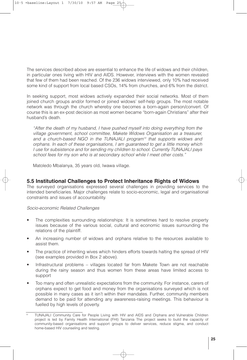The services described above are essential to enhance the life of widows and their children, in particular ones living with HIV and AIDS. However, interviews with the women revealed that few of them had been reached. Of the 236 widows interviewed, only 10% had received some kind of support from local based CSOs, 14% from churches, and 6% from the district.

In seeking support, most widows actively expanded their social networks. Most of them joined church groups and/or formed or joined widows' self-help groups. The most notable network was through the church whereby one becomes a born-again person/convert. Of course this is an ex-post decision as most women became "born-again Christians" after their husband's death.

*"After the death of my husband, I have pushed myself into doing everything from the village government, school committee, Makete Widows Organisation as a treasurer, and a church-based NGO in the TUNAJALI program13 that supports widows and orphans. In each of these organisations, I am guaranteed to get a little money which I use for subsistence and for sending my children to school. Currently TUNAJALI pays school fees for my son who is at secondary school while I meet other costs."*

Matoledo Mbalanya, 35 years old, Iwawa village.

#### **5.5 Institutional Challenges to Protect Inheritance Rights of Widows**

The surveyed organisations expressed several challenges in providing services to the intended beneficiaries. Major challenges relate to socio-economic, legal and organisational constraints and issues of accountability.

#### *Socio-economic Related Challenges*

- The complexities surrounding relationships: It is sometimes hard to resolve property issues because of the various social, cultural and economic issues surrounding the relations of the plaintiff.
- An increasing number of widows and orphans relative to the resources available to assist them.
- The practice of inheriting wives which hinders efforts towards halting the spread of HIV (see examples provided in Box 2 above).
- Infrastructural problems villages located far from Makete Town are not reachable during the rainy season and thus women from these areas have limited access to support
- Too many and often unrealistic expectations from the community. For instance, carers of orphans expect to get food and money from the organisations surveyed which is not possible in many cases as it isn't within their mandates. Further, community members demand to be paid for attending any awareness-raising meetings. This behaviour is fuelled by high levels of poverty.

<sup>13</sup> TUNAJALI Community Care for People Living with HIV and AIDS and Orphans and Vulnerable Children project is led by Family Health International (FHI) Tanzania The project seeks to build the capacity of community-based organisations and support groups to deliver services, reduce stigma, and conduct home-based HIV counseling and testing.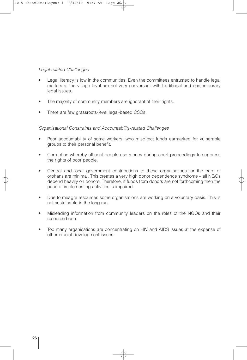#### *Legal-related Challenges*

- Legal literacy is low in the communities. Even the committees entrusted to handle legal matters at the village level are not very conversant with traditional and contemporary legal issues.
- The majority of community members are ignorant of their rights.
- There are few grassroots-level legal-based CSOs.

#### *Organisational Constraints and Accountability-related Challenges*

- Poor accountability of some workers, who misdirect funds earmarked for vulnerable groups to their personal benefit.
- Corruption whereby affluent people use money during court proceedings to suppress the rights of poor people.
- Central and local government contributions to these organisations for the care of orphans are minimal. This creates a very high donor dependence syndrome – all NGOs depend heavily on donors. Therefore, if funds from donors are not forthcoming then the pace of implementing activities is impaired.
- Due to meagre resources some organisations are working on a voluntary basis. This is not sustainable in the long run.
- Misleading information from community leaders on the roles of the NGOs and their resource base.
- Too many organisations are concentrating on HIV and AIDS issues at the expense of other crucial development issues.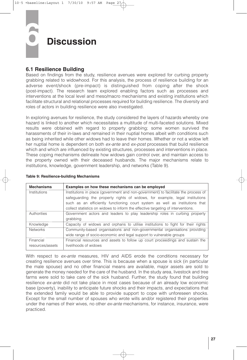## **6 Discussion**

#### **6.1 Resilience Building**

Based on findings from the study, resilience avenues were explored for curbing property grabbing related to widowhood. For this analysis, the process of resilience building for an adverse event/shock (pre-impact) is distinguished from coping after the shock (post-impact). The research team explored enabling factors such as processes and interventions at the local level and meso/macro mechanisms and existing institutions which facilitate structural and relational processes required for building resilience. The diversity and roles of actors in building resilience were also investigated.

In exploring avenues for resilience, the study considered the layers of hazards whereby one hazard is linked to another which necessitates a multitude of multi-faceted solutions. Mixed results were obtained with regard to property grabbing; some women survived the harassments of their in-laws and remained in their nuptial homes albeit with conditions such as being inherited while other widows had to leave their homes. Whether or not a widow left her nuptial home is dependent on both *ex-ante* and *ex-post* processes that build resilience which and which are influenced by existing structures, processes and interventions in place. These coping mechanisms delineate how widows gain control over, and maintain access to the property owned with their deceased husbands. The major mechanisms relate to institutions, knowledge, government leadership, and networks (Table 9).

| <b>Mechanisms</b> | Examples on how these mechanisms can be employed                                   |  |  |
|-------------------|------------------------------------------------------------------------------------|--|--|
| Institutions      | Institutions in place (government and non-government) to facilitate the process of |  |  |
|                   | safeguarding the property rights of widows, for example, legal institutions        |  |  |
|                   | such as an efficiently functioning court system as well as institutions that       |  |  |
|                   | collect statistics on widows to inform the effective targeting of interventions.   |  |  |
| Authorities       | Government actors and leaders to play leadership roles in curbing property         |  |  |
|                   | grabbing                                                                           |  |  |
| Knowledge         | Capacity of widows and orphans to utilise institutions to fight for their rights   |  |  |
| <b>Networks</b>   | Community-based organisations and non-governmental organisations providing         |  |  |
|                   | wide range of socio-economic and legal support to vulnerable groups                |  |  |
| Financial         | Financial resources and assets to follow up court proceedings and sustain the      |  |  |
| resources/assets  | livelihoods of widows                                                              |  |  |

#### **Table 9: Resilience-building Mechanisms**

With respect to *ex-ante* measures, HIV and AIDS erode the conditions necessary for creating resilience avenues over time. This is because when a spouse is sick (in particular the male spouse) and no other financial means are available, major assets are sold to generate the money needed for the care of the husband. In the study area, livestock and tree farms were sold to take care of the sick husband. Further, the study found that building resilience *ex-ante* did not take place in most cases because of an already low economic base (poverty), inability to anticipate future shocks and their impacts, and expectations that the extended family would be able to provide support to cope with unforeseen shocks. Except for the small number of spouses who wrote wills and/or registered their properties under the names of their wives, no other *ex-ante* mechanisms, for instance, insurance, were practiced.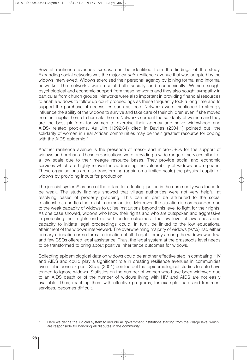Several resilience avenues *ex-post* can be identified from the findings of the study. Expanding social networks was the major *ex-ante* resilience avenue that was adopted by the widows interviewed. Widows exercised their personal agency by joining formal and informal networks. The networks were useful both socially and economically. Women sought psychological and economic support from these networks and they also sought sympathy in particular from church groups. Networks were also important in providing financial resources to enable widows to follow up court proceedings as these frequently took a long time and to support the purchase of necessities such as food. Networks were mentioned to strongly influence the ability of the widows to survive and take care of their children even if she moved from her nuptial home to her natal home. Networks cement the solidarity of women and they are the best platform for women to exercise their agency and solve widowhood and AIDS- related problems. As Ulin (1992:64) cited in Baylies (2004:1) pointed out "the solidarity of women in rural African communities may be their greatest resource for coping with the AIDS epidemic."

Another resilience avenue is the presence of meso- and micro-CSOs for the support of widows and orphans. These organisations were providing a wide range of services albeit at a low scale due to their meagre resource bases. They provide social and economic services which are highly relevant in addressing the vulnerability of widows and orphans. These organisations are also transforming (again on a limited scale) the physical capital of widows by providing inputs for production.

The judicial system<sup>14</sup> as one of the pillars for effecting justice in the community was found to be weak. The study findings showed that village authorities were not very helpful at resolving cases of property grabbing. This can in part be attributed to the social relationships and ties that exist in communities. Moreover, the situation is compounded due to the weak capacity of widows to utilise institutions beyond this level to fight for their rights. As one case showed, widows who know their rights and who are outspoken and aggressive in protecting their rights end up with better outcomes. The low level of awareness and capacity to initiate legal proceedings could, in turn, be linked to the low educational attainment of the widows interviewed. The overwhelming majority of widows (97%) had either primary education or no formal education at all. Legal literacy among the widows was low, and few CSOs offered legal assistance. Thus, the legal system at the grassroots level needs to be transformed to bring about positive inheritance outcomes for widows.

Collecting epidemiological data on widows could be another effective step in combating HIV and AIDS and could play a significant role in creating resilience avenues in communities even if it is done ex-post. Sleap (2001) pointed out that epidemiological studies to date have tended to ignore widows. Statistics on the number of women who have been widowed due to an AIDS death or of the number of widows living with HIV and AIDS are not easily available. Thus, reaching them with effective programs, for example, care and treatment services, becomes difficult.

Here we define the judicial system to include all government institutions starting from the village level which are responsible for handling all disputes in the community.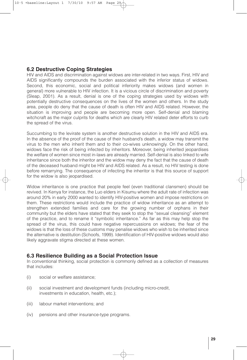#### **6.2 Destructive Coping Strategies**

HIV and AIDS and discrimination against widows are inter-related in two ways. First, HIV and AIDS significantly compounds the burden associated with the inferior status of widows. Second, this economic, social and political inferiority makes widows (and women in general) more vulnerable to HIV infection. It is a vicious circle of discrimination and poverty (Sleap, 2001). As a result, denial is one of the coping strategies used by widows with potentially destructive consequences on the lives of the women and others. In the study area, people do deny that the cause of death is often HIV and AIDS related. However, the situation is improving and people are becoming more open. Self-denial and blaming witchcraft as the major culprits for deaths which are clearly HIV related deter efforts to curb the spread of the virus.

Succumbing to the levirate system is another destructive solution in the HIV and AIDS era. In the absence of the proof of the cause of their husband's death, a widow may transmit the virus to the men who inherit them and to their co-wives unknowingly. On the other hand, widows face the risk of being infected by inheritors. Moreover, being inherited jeopardises the welfare of women since most in-laws are already married. Self-denial is also linked to wife inheritance since both the inheritor and the widow may deny the fact that the cause of death of the deceased husband might be HIV and AIDS related. As a result, no HIV testing is done before remarrying. The consequence of infecting the inheritor is that this source of support for the widow is also jeopardised.

Widow inheritance is one practice that people feel (even traditional clansmen) should be revived. In Kenya for instance, the Luo elders in Kisumu where the adult rate of infection was around 20% in early 2000 wanted to identify HIV-positive women and impose restrictions on them. These restrictions would include the practice of widow inheritance as an attempt to strengthen extended families and care for the growing number of orphans in their community but the elders have stated that they seek to stop the "sexual cleansing" element of the practice, and to rename it "symbolic inheritance." As far as this may help stop the spread of the virus, this could have negative repercussions on widows; the fear of the widows is that the loss of these customs may penalise widows who wish to be inherited since the alternative is destitution (Schoofs, 1999). Identification of HIV-positive widows would also likely aggravate stigma directed at these women.

#### **6.3 Resilience Building as a Social Protection Issue**

In conventional thinking, social protection is commonly defined as a collection of measures that includes:

- (i) social or welfare assistance;
- (ii) social investment and development funds (including micro-credit, investments in education, health, etc.);
- (iii) labour market interventions; and
- (iv) pensions and other insurance-type programs.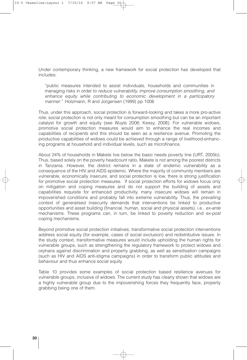Under contemporary thinking, a new framework for social protection has developed that includes:

"public measures intended to assist individuals, households and communities in managing risks in order to *reduce vulnerability, improve consumption smoothing, and enhance equity while contributing to economic development in a participatory manner."* Holzmann, R and Jorgensen (1999) pp 1006

Thus, under this approach, social protection is forward-looking and takes a more pro-active role; social protection is not only meant for consumption smoothing but can be an important catalyst for growth and equity (see Wuyts 2006; Kessy, 2008). For vulnerable widows, promotive social protection measures would aim to enhance the real incomes and capabilities of recipients and this should be seen as a resilience avenue. Promoting the productive capabilities of widows could be achieved through a range of livelihood-enhancing programs at household and individual levels, such as microfinance.

About 24% of households in Makete live below the basic needs poverty line (URT, 2005b). Thus, based solely on the poverty headcount ratio, Makete is not among the poorest districts in Tanzania. However, the district remains in a state of endemic vulnerability as a consequence of the HIV and AIDS epidemic. Where the majority of community members are vulnerable, economically insecure, and social protection is low, there is strong justification for promotive social protection measures. If social protection efforts for widows focus only on mitigation and coping measures and do not support the building of assets and capabilities requisite for enhanced productivity, many insecure widows will remain in impoverished conditions and probably fall into extreme vulnerability. Thus, the prevailing context of generalised insecurity demands that interventions be linked to productive opportunities and asset building (financial, human, social and physical assets), i.e., *ex-ante* mechanisms. These programs can, in turn, be linked to poverty reduction and *ex-post* coping mechanisms.

Beyond promotive social protection initiatives, transformative social protection interventions address social equity (for example, cases of social exclusion) and redistributive issues. In the study context, transformative measures would include upholding the human rights for vulnerable groups, such as strengthening the regulatory framework to protect widows and orphans against discrimination and property grabbing, as well as sensitisation campaigns (such as HIV and AIDS anti-stigma campaigns) in order to transform public attitudes and behaviour and thus enhance social equity.

Table 10 provides some examples of social protection based resilience avenues for vulnerable groups, inclusive of widows. The current study has clearly shown that widows are a highly vulnerable group due to the impoverishing forces they frequently face, property grabbing being one of them.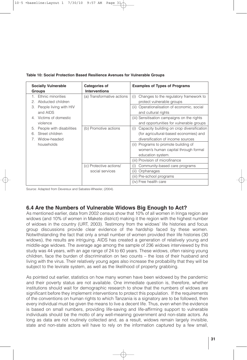| <b>Socially Vulnerable</b><br><b>Groups</b>                                  | <b>Categories of</b><br><b>Interventions</b> | <b>Examples of Types of Programs</b>                                                                                            |
|------------------------------------------------------------------------------|----------------------------------------------|---------------------------------------------------------------------------------------------------------------------------------|
| Ethnic minorities<br>Abducted children<br>$\mathcal{P}^-$                    | (a) Transformative actions                   | Changes to the regulatory framework to<br>(i)<br>protect vulnerable groups                                                      |
| People living with HIV<br>З.<br>and AIDS                                     |                                              | Operationalisation of economic, social<br>(ii)<br>and cultural rights                                                           |
| 4. Victims of domestic<br>violence                                           |                                              | (iii) Sensitisation campaigns on the rights<br>and opportunities for vulnerable groups                                          |
| People with disabilities<br>5.<br>Street children<br>6.<br>Widow-headed<br>7 | (b) Promotive actions                        | Capacity building on crop diversification<br>(i)<br>(for agricultural-based economies) and<br>diversification of income sources |
| households                                                                   |                                              | (ii) Programs to promote building of<br>women's human capital through formal<br>education system.                               |
|                                                                              |                                              | (iii) Provision of microfinance                                                                                                 |
|                                                                              | (c) Protective actions/                      | Community-based care programs<br>(i)                                                                                            |
|                                                                              | social services                              | Orphanages<br>(ii)                                                                                                              |
|                                                                              |                                              | (iii) Pre-school programs                                                                                                       |
|                                                                              |                                              | (iv) Free health care                                                                                                           |

#### **Table 10: Social Protection Based Resilience Avenues for Vulnerable Groups**

Source: Adapted from Devereux and Sabates-Wheeler, (2004).

#### **6.4 Are the Numbers of Vulnerable Widows Big Enough to Act?**

As mentioned earlier, data from 2002 census show that 10% of all women in Iringa region are widows (and 10% of women in Makete district) making it the region with the highest number of widows in the country (URT, 2003). Testimony from the widows' life histories and focus group discussions provide clear evidence of the hardship faced by these women. Notwithstanding the fact that only a small number of women provided their life histories (30 widows), the results are intriguing. AIDS has created a generation of relatively young and middle-age widows. The average age among the sample of 236 widows interviewed by this study was 44 years, with an age range of 24 to 60 years. These widows, often raising young children, face the burden of discrimination on two counts – the loss of their husband and living with the virus. Their relatively young ages also increase the probability that they will be subject to the levirate system, as well as the likelihood of property grabbing.

As pointed out earlier, statistics on how many women have been widowed by the pandemic and their poverty status are not available. One immediate question is, therefore, whether institutions should wait for demographic research to show that the numbers of widows are significant before they implement interventions to protect this population. If the requirements of the conventions on human rights to which Tanzania is a signatory are to be followed, then every individual must be given the means to live a decent life. Thus, even when the evidence is based on small numbers, providing life-saving and life-affirming support to vulnerable individuals should be the motto of any well-meaning government and non-state actors. As long as data are not routinely collected and, as a result, widows remain largely invisible, state and non-state actors will have to rely on the information captured by a few small,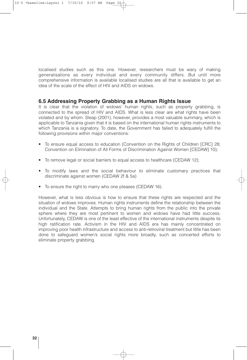localised studies such as this one. However, researchers must be wary of making generalisations as every individual and every community differs. But until more comprehensive information is available localised studies are all that is available to get an idea of the scale of the effect of HIV and AIDS on widows.

#### **6.5 Addressing Property Grabbing as a Human Rights Issue**

It is clear that the violation of widows' human rights, such as property grabbing, is connected to the spread of HIV and AIDS. What is less clear are what rights have been violated and by whom. Sleap (2001), however, provides a most valuable summary, which is applicable to Tanzania given that it is based on the international human rights instruments to which Tanzania is a signatory. To date, the Government has failed to adequately fulfill the following provisions within major conventions:

- To ensure equal access to education (Convention on the Rights of Children [CRC] 28; Convention on Elimination of All Forms of Discrimination Against Women [CEDAW] 10);
- To remove legal or social barriers to equal access to healthcare (CEDAW 12);
- To modify laws and the social behaviour to eliminate customary practices that discriminate against women (CEDAW 2f & 5a)
- To ensure the right to marry who one pleases (CEDAW 16).

However, what is less obvious is how to ensure that these rights are respected and the situation of widows improves. Human rights instruments define the relationship between the individual and the State. Attempts to bring human rights from the public into the private sphere where they are most pertinent to women and widows have had little success. Unfortunately, CEDAW is one of the least effective of the international instruments despite its high ratification rate. Activism in the HIV and AIDS era has mainly concentrated on improving poor health infrastructure and access to anti-retroviral treatment but little has been done to safeguard women's social rights more broadly, such as concerted efforts to eliminate property grabbing.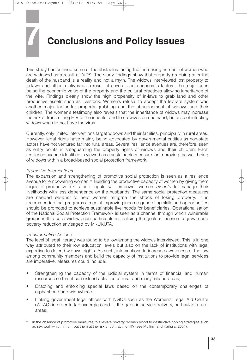## **7 Conclusions and Policy Issues**

This study has outlined some of the obstacles facing the increasing number of women who are widowed as a result of AIDS. The study findings show that property grabbing after the death of the husband is a reality and not a myth. The widows interviewed lost property to in-laws and other relatives as a result of several socio-economic factors, the major ones being the economic value of the property and the cultural practices allowing inheritance of the wife. Findings clearly show the high propensity of in-laws to grab land and other productive assets such as livestock. Women's refusal to accept the levirate system was another major factor for property grabbing and the abandonment of widows and their children. The women's testimony also reveals that the inheritance of widows may increase the risk of transmitting HIV to the inheritor and to co-wives on one hand, but also of infecting widows who did not have the virus.

Currently, only limited interventions target widows and their families, principally in rural areas. However, legal rights have mainly being advocated by governmental entities as non-state actors have not ventured far into rural areas. Several resilience avenues are, therefore, seen as entry points in safeguarding the property rights of widows and their children. Each resilience avenue identified is viewed as a sustainable measure for improving the well-being of widows within a broad-based social protection framework.

#### *Promotive Interventions*

The expansion and strengthening of promotive social protection is seen as a resilience avenue for empowering women.<sup>15</sup> Building the productive capacity of women by giving them requisite productive skills and inputs will empower women *ex-ante* to manage their livelihoods with less dependence on the husbands. The same social protection measures are needed *ex-post* to help women mitigate the shock of losing property. It is recommended that programs aimed at improving income-generating skills and opportunities should be promoted to achieve sustainable livelihoods for beneficiaries. Operationalisation of the National Social Protection Framework is seen as a channel through which vulnerable groups in this case widows can participate in realising the goals of economic growth and poverty reduction envisaged by MKUKUTA.

#### *Transformative Actions*

The level of legal literacy was found to be low among the widows interviewed. This is in one way attributed to their low education levels but also on the lack of institutions with legal expertise to defend widows' rights. As such, interventions to increase awareness of the law among community members and build the capacity of institutions to provide legal services are imperative. Measures could include:

- Strengthening the capacity of the judicial system in terms of financial and human resources so that it can extend activities to rural and marginalised areas;
- Enacting and enforcing special laws based on the contemporary challenges of orphanhood and widowhood;
- Linking government legal offices with NGOs such as the Women's Legal Aid Centre (WLAC) in order to tap synergies and fill the gaps in service delivery, particular in rural areas;

In the absence of promotive measures to alleviate poverty, women resort to destructive coping strategies such as sex work which in turn put them at the risk of contracting HIV (see Mbilinyi and Kaihula, 2004).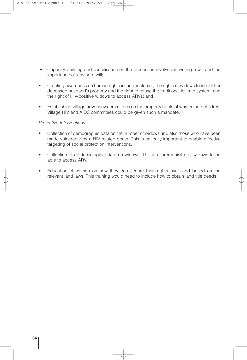- Capacity building and sensitisation on the processes involved in writing a will and the importance of leaving a will;
- Creating awareness on human rights issues, including the rights of widows to inherit her deceased husband's property and the right to refuse the traditional levirate system, and the right of HIV-positive widows to access ARVs; and
- Establishing village advocacy committees on the property rights of women and children. Village HIV and AIDS committees could be given such a mandate.

#### *Protective Interventions*

- Collection of demographic data on the number of widows and also those who have been made vulnerable by a HIV related death. This is critically important to enable effective targeting of social protection interventions.
- Collection of epidemiological data on widows. This is a prerequisite for widows to be able to access ARV.
- Education of women on how they can secure their rights over land based on the relevant land laws. This training would need to include how to obtain land title deeds.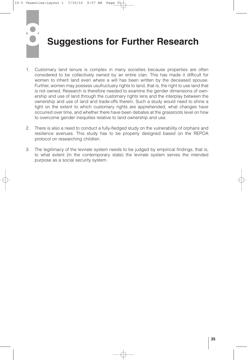# **8 Suggestions for Further Research**

- 1. Customary land tenure is complex in many societies because properties are often considered to be collectively owned by an entire clan. This has made it difficult for women to inherit land even where a will has been written by the deceased spouse. Further, women may possess usufructuary rights to land, that is, the right to use land that is not owned. Research is therefore needed to examine the gender dimensions of ownership and use of land through the customary rights lens and the interplay between the ownership and use of land and trade-offs therein. Such a study would need to shine a light on the extent to which customary rights are apprehended, what changes have occurred over time, and whether there have been debates at the grassroots level on how to overcome gender inequities relative to land ownership and use.
- 2. There is also a need to conduct a fully-fledged study on the vulnerability of orphans and resilience avenues. This study has to be properly designed based on the REPOA protocol on researching children.
- 3. The legitimacy of the levirate system needs to be judged by empirical findings, that is, to what extent (in the contemporary state) the levirate system serves the intended purpose as a social security system.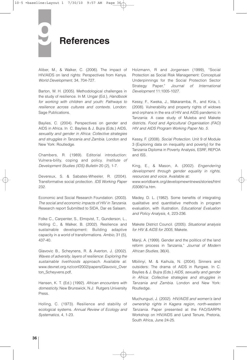## **9 References**

Aliber, M., & Walker, C. (2006). The impact of HIV/AIDS on land rights: Perspectives from Kenya. *World Development*, 34, 704-727.

Barton, W. H. (2005). Methodological challenges in the study of resilience. In M. Ungar (Ed.), *Handbook for working with children and youth: Pathways to resilience across cultures and contexts.* London: Sage Publications.

Baylies, C. (2004). Perspectives on gender and AIDS in Africa. In C. Baylies & J. Bujra (Eds.) AIDS, *sexuality and gender in Africa: Collective strategies and struggles in Tanzania and Zambia.* London and New York: Routledge.

Chambers, R. (1989). Editorial introduction: Vulnera-bility, coping and policy. *Institute of Development Studies (IDS) Bulletin* 20 (2), 1-7.

Devereux, S. & Sabates-Wheeler, R. (2004). Transformative social protection. *IDS Working Paper* 232.

Economic and Social Research Foundation. (2003). *The social and economic impacts of HIV in Tanzania.* Research report Submitted to SIDA, Dar es Salaam.

Folke C., Carpenter, S., Elmqvist, T., Gunderson, L., Holling C., & Walker, B. (2002). Resilience and sustainable development: Building adaptive capacity in a world of transformations. *Ambio*, 31 (5), 437-40.

Glavovic B., Scheynens, R. & Averton, J. (2002). *Waves of adversity, layers of resilience: Exploring the sustainable livelihoods approach.* Available at: www.devnet.org.nz/conf2002/papers/Glavovic\_Over ton\_Scheyvens.pdf,

Hansen, K. T. (Ed.) (1992). *African encounters with domesticity.* New Brunswick, N.J: Rutgers University Press.

Holling, C. (1973). Resilience and stability of ecological systems. *Annual Review of Ecology and Systematics*, 4, 1-23.

Holzmann, R and Jorgensen (1999), "Social Protection as Social Risk Management: Conceptual Underpinnings for the Social Protection Sector Strategy Paper," *Journal of International Development* 11:1005-1027.

Kessy, F., Kweka, J., Makaramba, R., and Kiria, I. (2008). Vulnerability and property rights of widows and orphans in the era of HIV and AIDS pandemic in Tanzania: A case study of Muleba and Makete districts. *Food and Agricultural Organisation (FAO) HIV and AIDS Program Working Paper No. 5.*

Kessy, F. (2008). *Social Protection.* Unit 9 of Module 3 (Exploring data on inequality and poverty) for the Tanzania Diploma in Poverty Analysis, ESRF, REPOA and ISS.

King, E., & Mason, A. (2002). *Engendering development through gender equality in rights, resources and voice.* Available at:

www.worldbank.org/developmewntnews/stories/html /030801a.htm.

Madey, D. L. (1982). Some benefits of integrating qualitative and quantitative methods in program evaluation, with illustration. *Educational Evaluation and Policy Analysis*, 4, 223-236.

Makete District Council. (2005). *Situational analysis for HIV & AIDS for 2005*, Makete.

Manji, A. (1999). Gender and the politics of the land reform process in Tanzania," *Journal of Modern African Studies*, 36(4).

Mbilinyi, M. & Kaihula, N. (2004). Sinners and outsiders: The drama of AIDS in Rungwe. In C. Baylies & J. Bujra (Eds.) *AIDS, sexuality and gender in Africa: Collective strategies and struggles in Tanzania and Zambia.* London and New York: Routledge.

Muchunguzi, J. (2002). *HIV/AIDS and women's land ownership rights in Kagera region, north-western Tanzania.* Paper presented at the FAO/SARPN Workshop on HIV/AIDS and Land Tenure, Pretoria, South Africa, June 24-25.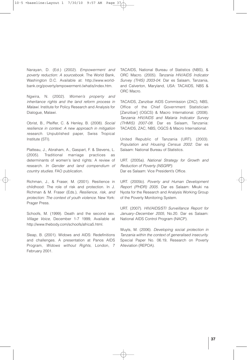Narayan, D. (Ed.) (2002). *Empowerment and poverty reduction: A sourcebook.* The World Bank, Washington D.C. Available at: http://www.worldbank.org/poverty/empowerment-/whatis/index.htm.

Ngwira, N. (2002). *Women's property and inheritance rights and the land reform process in Malawi.* Institute for Policy Research and Analysis for Dialogue, Malawi.

Obrist, B., Pfeiffer, C. & Henley, B. (2008). *Social resilience in context: A new approach in mitigation research.* Unpublished paper, Swiss Tropical Institute (STI).

Platteau, J., Abraham, A., Gaspart, F. & Stevens, L. (2005). Traditional marriage practices as determinants of women's land rights: A review of research. *In Gender and land compendium of country studies.* FAO publication.

Richman, J., & Fraser, M. (2001). Resilience in childhood: The role of risk and protection. In J. Richman & M. Fraser (Eds.), *Resilience, risk, and protection: The context of youth violence.* New York: Prager Press.

Schoofs, M. (1999). Death and the second sex. *Village Voice,* December 1-7 1999, Available at http://www.thebody.com/schoofs/africa5.html.

Sleap, B. (2001). Widows and AIDS: Redefinitions and challenges. A presentation at Panos AIDS Program, *Widows without Rights,* London, 7 February 2001.

TACAIDS, National Bureau of Statistics (NBS), & ORC Macro. (2005). *Tanzania HIV/AIDS Indicator Survey (THIS) 2003-04.* Dar es Salaam, Tanzania, and Calverton, Maryland, USA: TACAIDS, NBS & ORC Macro.

TACAIDS, Zanzibar AIDS Commission (ZAC), NBS, Office of the Chief Government Statistician [Zanzibar] (OGCS) & Macro International. (2008). *Tanzania HIV/AIDS and Malaria Indicator Survey (THMIS) 2007-08.* Dar es Salaam, Tanzania: TACAIDS, ZAC, NBS, OGCS & Macro International.

United Republic of Tanzania (URT). (2003). *Population and Housing Census 2002.* Dar es Salaam: National Bureau of Statistics.

URT. (2005a). *National Strategy for Growth and Reduction of Poverty (NSGRP).* Dar es Salaam: Vice President's Office.

URT. (2005b). *Poverty and Human Development Report (PHDR) 2005.* Dar es Salaam: Mkuki na Nyota for the Research and Analysis Working Group of the Poverty Monitoring System.

URT. (2007). *HIV/AIDS/STI Surveillance Report for January–December 2005,* No.20. Dar es Salaam: National AIDS Control Program (NACP).

Wuyts, M. (2006). *Developing social protection in Tanzania within the context of generalised insecurity.* Special Paper No. 06.19, Research on Poverty Alleviation (REPOA).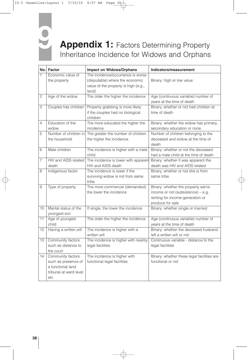

## **9 Appendix 1:** Factors Determining Property Inheritance Incidence for Widows and Orphans

|                | No. Factor                                                                                     | <b>Impact on Widows/Orphans</b>                                                                                       | Indicators/measurement                                                                                                           |
|----------------|------------------------------------------------------------------------------------------------|-----------------------------------------------------------------------------------------------------------------------|----------------------------------------------------------------------------------------------------------------------------------|
| 1              | Economic value of<br>the property                                                              | The incidence/occurrence is worse<br>(disputable) where the economic<br>value of the property is high (e.g.,<br>land) | Binary: high or low value                                                                                                        |
| $\mathbf{2}$   | Age of the widow                                                                               | The older the higher the incidence                                                                                    | Age (continuous variable) number of<br>years at the time of death                                                                |
| $\overline{3}$ | Couples has children                                                                           | Property grabbing is more likely<br>if the couples had no biological<br>children                                      | Binary, whether or not had children at<br>time of death                                                                          |
| 4              | Education of the<br>widow                                                                      | The more educated the higher the<br>incidence                                                                         | Binary: whether the widow has primary,<br>secondary education or none.                                                           |
| 5              | Number of children in<br>the household                                                         | The greater the number of children<br>the higher the incidence                                                        | Number of children belonging to the<br>deceased and widow at the time of<br>death                                                |
| 6              | Male children                                                                                  | The incidence is higher with a male<br>child                                                                          | Binary: whether or not the deceased<br>had a male child at the time of death                                                     |
| $\overline{7}$ | HIV and AIDS related<br>death                                                                  | The incidence is lower with apparent<br>HIV and AIDS death                                                            | Binary: whether it was apparent the<br>death was HIV and AIDS related                                                            |
| 8              | Indigenous factor                                                                              | The incidence is lower if the<br>surviving widow is not from same<br>tribe                                            | Binary, whether or not she is from<br>same tribe                                                                                 |
| 9              | Type of property                                                                               | The more commercial (demanded)<br>the lower the incidence                                                             | Binary: whether the property earns<br>income or not (subsistence) - e.g.<br>renting for income generation or<br>produce for sale |
| 10             | Marital status of the<br>youngest son                                                          | If single, the lower the incidence                                                                                    | Binary: whether single or married                                                                                                |
| 11             | Age of youngest<br>child                                                                       | The older the higher the incidence                                                                                    | Age (continuous variable) number of<br>years at the time of death                                                                |
| 12             | Having a written will                                                                          | The incidence is higher with a<br>written will                                                                        | Binary: whether the deceased husband<br>left a written will or not                                                               |
| 13             | Community factors<br>such as distance to<br>the court                                          | The incidence is higher with nearby<br>legal facilities                                                               | Continuous variable - distance to the<br>legal facilities                                                                        |
| 14             | Community factors<br>such as presence of<br>a functional land<br>tribunal at ward level<br>etc | The incidence is higher with<br>functional legal facilities                                                           | Binary: whether these legal facilities are<br>functional or not                                                                  |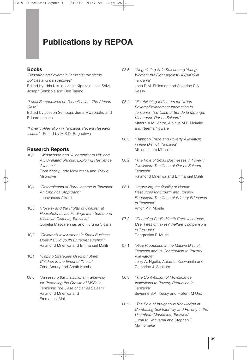### **Publications by REPOA**

#### **Books**

*"Researching Poverty in Tanzania: problems, policies and perspectives"* Edited by Idris Kikula, Jonas Kipokola, Issa Shivji, Joseph Semboja and Ben Tarimo

*"Local Perspectives on Globalisation: The African Case"*

Edited by Joseph Semboja, Juma Mwapachu and Eduard Jansen

*"Poverty Alleviation in Tanzania: Recent Research Issues"* Edited by M.S.D. Bagachwa

#### **Research Reports**

- 10/5 *"Widowhood and Vulnerability to HIV and AIDS-related Shocks: Exploring Resilience Avenues"* Flora Kessy, Iddy Mayumana and Yoswe Msongwe
- 10/4 *"Determinants of Rural Income in Tanzania: An Empirical Approach"* Jehovaness Aikaeli
- 10/3 *"Poverty and the Rights of Children at Household Level: Findings from Same and Kisarawe Districts, Tanzania"* Ophelia Mascarenhas and Huruma Sigalla
- 10/2 *"Children's Involvement in Small Business: Does if Build youth Entrepreneurship?"* Raymond Mnenwa and Emmanuel Maliti
- 10/1 *"Coping Strategies Used by Street Children in the Event of Illness"* Zena Amury and Aneth Komba
- 08.6 *"Assessing the Institutional Framework for Promoting the Growth of MSEs in Tanzania; The Case of Dar es Salaam"* Raymond Mnenwa and Emmanuel Maliti
- 08.5 *"Negotiating Safe Sex among Young Women: the Fight against HIV/AIDS in Tanzania"* John R.M. Philemon and Severine S.A. Kessy
- 08.4 *"Establishing Indicators for Urban Poverty-Environment Interaction in Tanzania: The Case of Bonde la Mpunga, Kinondoni, Dar es Salaam"* Matern A.M. Victor, Albinus M.P. Makalle and Neema Ngware
- 08.3 *"Bamboo Trade and Poverty Alleviation in Ileje District, Tanzania"* Milline Jethro Mbonile
- 08.2 *"The Role of Small Businesses in Poverty Alleviation: The Case of Dar es Salaam, Tanzania"* Raymond Mnenwa and Emmanuel Maliti
- 08.1 *"Improving the Quality of Human Resources for Growth and Poverty Reduction: The Case of Primary Education in Tanzania"* Amon V.Y. Mbelle
- 07.2 *"Financing Public Heath Care: Insurance, User Fees or Taxes? Welfare Comparisons in Tanzania"* Deograsias P. Mushi
- 07.1 *"Rice Production in the Maswa District, Tanzania and its Contribution to Poverty Alleviation"* Jerry A. Ngailo, Abiud L. Kaswamila and Catherine J. Senkoro
- 06.3 *"The Contribution of Microfinance Institutions to Poverty Reduction in Tanzania"* Severine S.A. Kessy and Fratern M Urio
- 06.2 *"The Role of Indigenous Knowledge in Combating Soil Infertility and Poverty in the Usambara Mountains, Tanzania*" Juma M. Wickama and Stephen T. Mwihomeke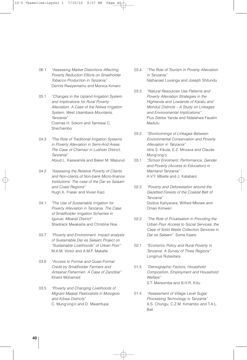- 06.1 *"Assessing Market Distortions Affecting Poverty Reduction Efforts on Smallholder Tobacco Production in Tanzania"* Dennis Rweyemamu and Monica Kimaro
- 05.1 *"Changes in the Upland Irrigation System and Implications for Rural Poverty Alleviation. A Case of the Ndiwa Irrigation System, West Usambara Mountains, Tanzania"* Cosmas H. Sokoni and Tamilwai C. Shechambo
- 04.3 *"The Role of Traditional Irrigation Systems in Poverty Alleviation in Semi-Arid Areas: The Case of Chamazi in Lushoto District, Tanzania"* Abiud L. Kaswamila and Baker M. Masuruli
- 04.2 *"Assessing the Relative Poverty of Clients and Non-clients of Non-bank Micro-finance Institutions. The case of the Dar es Salaam and Coast Regions"* Hugh K. Fraser and Vivian Kazi
- 04.1 *"The Use of Sustainable Irrigation for Poverty Alleviation in Tanzania. The Case of Smallholder Irrigation Schemes in Igurusi, Mbarali District"* Shadrack Mwakalila and Christine Noe
- 03.7 *"Poverty and Environment: Impact analysis of Sustainable Dar es Salaam Project on "Sustainable Livelihoods" of Urban Poor"* M.A.M. Victor and A.M.P. Makalle
- 03.6 *"Access to Formal and Quasi-Formal Credit by Smallholder Farmers and Artisanal Fishermen: A Case of Zanzibar"* Khalid Mohamed
- 03.5 *"Poverty and Changing Livelihoods of Migrant Maasai Pastoralists in Morogoro and Kilosa Districts"* C. Mung'ong'o and D. Mwamfupe
- 03.4 *"The Role of Tourism in Poverty Alleviation in Tanzania"* Nathanael Luvanga and Joseph Shitundu
- 03.3 *"Natural Resources Use Patterns and Poverty Alleviation Strategies in the Highlands and Lowlands of Karatu and Monduli Districts – A Study on Linkages and Environmental Implications"* Pius Zebbe Yanda and Ndalahwa Faustin Madulu
- 03.2 *"Shortcomings of Linkages Between Environmental Conservation and Poverty Alleviation in Tanzania"* Idris S. Kikula, E.Z. Mnzava and Claude Mung'ong'o
- 03.1 *"School Enrolment, Performance, Gender and Poverty (Access to Education) in Mainland Tanzania"* A.V.Y. Mbelle and J. Katabaro
- 02.3 *"Poverty and Deforestation around the Gazetted Forests of the Coastal Belt of Tanzania"* Godius Kahyarara, Wilfred Mbowe and Omari Kimweri
- 02.2 *"The Role of Privatisation in Providing the Urban Poor Access to Social Services: the Case of Solid Waste Collection Services in Dar es Salaam"* Suma Kaare
- 02.1 *"Economic Policy and Rural Poverty in Tanzania: A Survey of Three Regions"* Longinus Rutasitara
- 01.5 *"Demographic Factors, Household Composition, Employment and Household Welfare"* S.T. Mwisomba and B.H.R. Kiilu
- 01.4 *"Assessment of Village Level Sugar Processing Technology in Tanzania"* A.S. Chungu, C.Z.M. Kimambo and T.A.L. Bali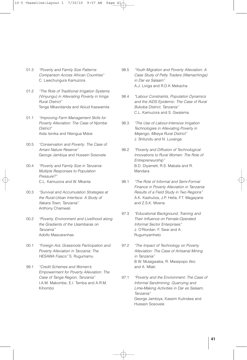- 01.3 *"Poverty and Family Size Patterns: Comparison Across African Countries"* C. Lwechungura Kamuzora
- 01.2 *"The Role of Traditional Irrigation Systems (Vinyungu) in Alleviating Poverty in Iringa Rural District"* Tenge Mkavidanda and Abiud Kaswamila
- 01.1 *"Improving Farm Management Skills for Poverty Alleviation: The Case of Njombe District"* Aida Isinika and Ntengua Mdoe
- 00.5 *"Conservation and Poverty: The Case of Amani Nature Reserve"* George Jambiya and Hussein Sosovele
- 00.4 *"Poverty and Family Size in Tanzania: Multiple Responses to Population Pressure?"* C.L. Kamuzora and W. Mkanta
- 00.3 *"Survival and Accumulation Strategies at the Rural-Urban Interface: A Study of Ifakara Town, Tanzania"* Anthony Chamwali
- 00.2 *"Poverty, Environment and Livelihood along the Gradients of the Usambaras on Tanzania"* Adolfo Mascarenhas
- 00.1 *"Foreign Aid, Grassroots Participation and Poverty Alleviation in Tanzania: The HESAWA Fiasco"* S. Rugumamu
- 99.1 *"Credit Schemes and Women's Empowerment for Poverty Alleviation: The Case of Tanga Region, Tanzania"* I.A.M. Makombe, E.I. Temba and A.R.M. Kihombo
- 98.5 *"Youth Migration and Poverty Alleviation: A Case Study of Petty Traders (Wamachinga) in Dar es Salaam"* A.J. Liviga and R.D.K Mekacha
- 98.4 *"Labour Constraints, Population Dynamics and the AIDS Epidemic: The Case of Rural Bukoba District, Tanzania"* C.L. Kamuzora and S. Gwalema
- 98.3 *"The Use of Labour-Intensive Irrigation Technologies in Alleviating Poverty in Majengo, Mbeya Rural District"* J. Shitundu and N. Luvanga
- 98.2 *"Poverty and Diffusion of Technological Innovations to Rural Women: The Role of Entrepreneurship"* B.D. Diyamett, R.S. Mabala and R. Mandara
- 98.1 *"The Role of Informal and Semi-Formal Finance in Poverty Alleviation in Tanzania: Results of a Field Study in Two Regions"* A.K. Kashuliza, J.P. Hella, F.T. Magayane and Z.S.K. Mvena
- 97.3 *"Educational Background, Training and Their Influence on Female-Operated Informal Sector Enterprises"* J. O'Riordan. F. Swai and A. Rugumyamheto
- 97.2 *"The Impact of Technology on Poverty Alleviation: The Case of Artisanal Mining in Tanzania"* B W. Mutagwaba, R. Mwaipopo Ako and A. Mlaki
- 97.1 *"Poverty and the Environment: The Case of Informal Sandmining, Quarrying and Lime-Making Activities in Dar es Salaam, Tanzania"* George Jambiya, Kassim Kulindwa and Hussein Sosovele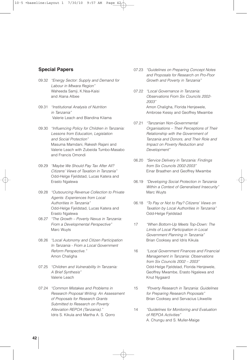#### **Special Papers**

- 09.32 *"Energy Sector: Supply and Demand for Labour in Mtwara Region"* Waheeda Samji, K.Nsa-Kaisi and Alana Albee
- 09.31 *"Institutional Analysis of Nutrition in Tanzania"* Valerie Leach and Blandina Kilama
- 09.30 *"Influencing Policy for Children in Tanzania: Lessons from Education, Legislation and Social Protection"* Masuma Mamdani, Rakesh Rajani and Valerie Leach with Zubeida Tumbo-Masabo and Francis Omondi
- 09.29 *"Maybe We Should Pay Tax After All? Citizens' Views of Taxation in Tanzania"* Odd-Helge Fjeldstad, Lucas Katera and Erasto Ngalewa
- 09.28 *"Outsourcing Revenue Collection to Private Agents: Experiences from Local Authorities in Tanzania"* Odd-Helge Fjeldstad, Lucas Katera and Erasto Ngalewa
- 08.27 *"The Growth – Poverty Nexus in Tanzania: From a Developmental Perspective"* Marc Wuyts
- 08.26 *"Local Autonomy and Citizen Participation In Tanzania - From a Local Government Reform Perspective."* Amon Chaligha
- 07.25 *"Children and Vulnerability In Tanzania: A Brief Synthesis"* Valerie Leach
- 07.24 *"Common Mistakes and Problems in Research Proposal Writing: An Assessment of Proposals for Research Grants Submitted to Research on Poverty Alleviation REPOA (Tanzania)."* Idris S. Kikula and Martha A. S. Qorro
- 07.23 *"Guidelines on Preparing Concept Notes and Proposals for Research on Pro-Poor Growth and Poverty in Tanzania"*
- 07.22 *"Local Governance in Tanzania: Observations From Six Councils 2002- 2003"* Amon Chaligha, Florida Henjewele, Ambrose Kessy and Geoffrey Mwambe
- 07.21 *"Tanzanian Non-Governmental Organisations – Their Perceptions of Their Relationship with the Government of Tanzania and Donors, and Their Role and Impact on Poverty Reduction and Development"*
- 06.20 *"Service Delivery in Tanzania: Findings from Six Councils 2002-2003"* Einar Braathen and Geoffrey Mwambe
- 06.19 *"Developing Social Protection in Tanzania Within a Context of Generalised Insecurity"* Marc Wuyts
- 06.18 *"To Pay or Not to Pay? Citizens' Views on Taxation by Local Authorities in Tanzania"* Odd-Helge Fjeldstad
- 17 *"When Bottom-Up Meets Top-Down: The Limits of Local Participation in Local Government Planning in Tanzania"* Brian Cooksey and Idris Kikula
- 16 *"Local Government Finances and Financial Management in Tanzania: Observations from Six Councils 2002 – 2003"* Odd-Helge Fjeldstad, Florida Henjewele, Geoffrey Mwambe, Erasto Ngalewa and Knut Nygaard
- 15 *"Poverty Research in Tanzania: Guidelines for Preparing Research Proposals"* Brian Cooksey and Servacius Likwelile
- 14 *"Guidelines for Monitoring and Evaluation of REPOA Activities"* A. Chungu and S. Muller-Maige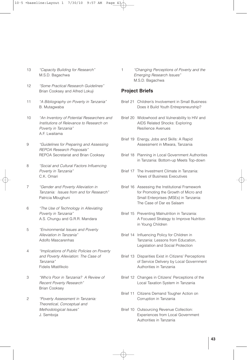- 13 *"Capacity Building for Research"* M.S.D. Bagachwa
- 12 *"Some Practical Research Guidelines"* Brian Cooksey and Alfred Lokuji
- 11 *"A Bibliography on Poverty in Tanzania"* B. Mutagwaba
- 10 *"An Inventory of Potential Researchers and Institutions of Relevance to Research on Poverty in Tanzania"* A.F. Lwaitama
- 9 *"Guidelines for Preparing and Assessing REPOA Research Proposals"* REPOA Secretariat and Brian Cooksey
- 8 *"Social and Cultural Factors Influencing Poverty in Tanzania"* C.K. Omari
- 7 *"Gender and Poverty Alleviation in Tanzania: Issues from and for Research"* Patricia Mbughuni
- 6 *"The Use of Technology in Alleviating Poverty in Tanzania"* A.S. Chungu and G.R.R. Mandara
- 5 *"Environmental Issues and Poverty Alleviation in Tanzania"* Adolfo Mascarenhas
- 4 *"Implications of Public Policies on Poverty and Poverty Alleviation: The Case of Tanzania"* Fidelis Mtatifikolo
- 3 *"Who's Poor in Tanzania? A Review of Recent Poverty Research"* Brian Cooksey
- 2 *"Poverty Assessment in Tanzania: Theoretical, Conceptual and Methodological Issues"* J. Semboja

1 *"Changing Perceptions of Poverty and the Emerging Research Issues"* M.S.D. Bagachwa

#### **Project Briefs**

- Brief 21 Children's Involvement in Small Business: Does it Build Youth Entrepreneurship?
- Brief 20 Widowhood and Vulnerability to HIV and AIDS Related Shocks: Exploring Resilience Avenues
- Brief 19 Energy, Jobs and Skills: A Rapid Assessment in Mtwara, Tanzania
- Brief 18 Planning in Local Government Authorities in Tanzania: Bottom-up Meets Top-down
- Brief 17 The Investment Climate in Tanzania: Views of Business Executives
- Brief 16 Assessing the Institutional Framework for Promoting the Growth of Micro and Small Enterprises (MSEs) in Tanzania: The Case of Dar es Salaam
- Brief 15 Preventing Malnutrition in Tanzania: A Focused Strategy to Improve Nutrition in Young Children
- Brief 14 Influencing Policy for Children in Tanzania: Lessons from Education, Legislation and Social Protection
- Brief 13 Disparities Exist in Citizens' Perceptions of Service Delivery by Local Government Authorities in Tanzania
- Brief 12 Changes in Citizens' Perceptions of the Local Taxation System in Tanzania
- Brief 11 Citizens Demand Tougher Action on Corruption in Tanzania
- Brief 10 Outsourcing Revenue Collection: Experiences from Local Government Authorities in Tanzania